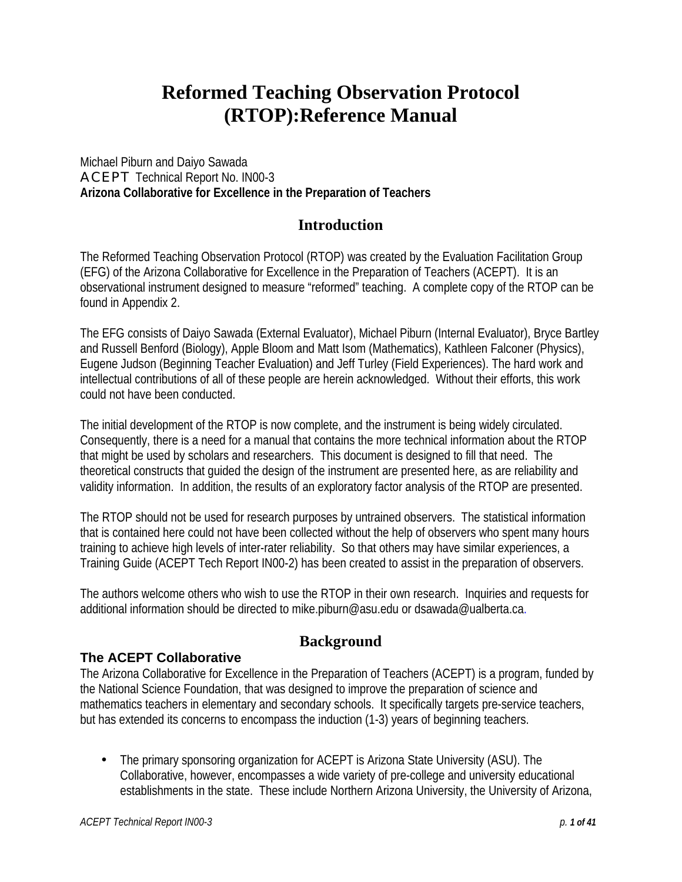# **Reformed Teaching Observation Protocol (RTOP):Reference Manual**

Michael Piburn and Daiyo Sawada ACEPT Technical Report No. IN00-3 **Arizona Collaborative for Excellence in the Preparation of Teachers** 

# **Introduction**

The Reformed Teaching Observation Protocol (RTOP) was created by the Evaluation Facilitation Group (EFG) of the Arizona Collaborative for Excellence in the Preparation of Teachers (ACEPT). It is an observational instrument designed to measure "reformed" teaching. A complete copy of the RTOP can be found in Appendix 2.

The EFG consists of Daiyo Sawada (External Evaluator), Michael Piburn (Internal Evaluator), Bryce Bartley and Russell Benford (Biology), Apple Bloom and Matt Isom (Mathematics), Kathleen Falconer (Physics), Eugene Judson (Beginning Teacher Evaluation) and Jeff Turley (Field Experiences). The hard work and intellectual contributions of all of these people are herein acknowledged. Without their efforts, this work could not have been conducted.

The initial development of the RTOP is now complete, and the instrument is being widely circulated. Consequently, there is a need for a manual that contains the more technical information about the RTOP that might be used by scholars and researchers. This document is designed to fill that need. The theoretical constructs that guided the design of the instrument are presented here, as are reliability and validity information. In addition, the results of an exploratory factor analysis of the RTOP are presented.

The RTOP should not be used for research purposes by untrained observers. The statistical information that is contained here could not have been collected without the help of observers who spent many hours training to achieve high levels of inter-rater reliability. So that others may have similar experiences, a Training Guide (ACEPT Tech Report IN00-2) has been created to assist in the preparation of observers.

The authors welcome others who wish to use the RTOP in their own research. Inquiries and requests for additional information should be directed to mike.piburn@asu.edu or dsawada@ualberta.ca.

# **Background**

# **The ACEPT Collaborative**

The Arizona Collaborative for Excellence in the Preparation of Teachers (ACEPT) is a program, funded by the National Science Foundation, that was designed to improve the preparation of science and mathematics teachers in elementary and secondary schools. It specifically targets pre-service teachers, but has extended its concerns to encompass the induction (1-3) years of beginning teachers.

• The primary sponsoring organization for ACEPT is Arizona State University (ASU). The Collaborative, however, encompasses a wide variety of pre-college and university educational establishments in the state. These include Northern Arizona University, the University of Arizona,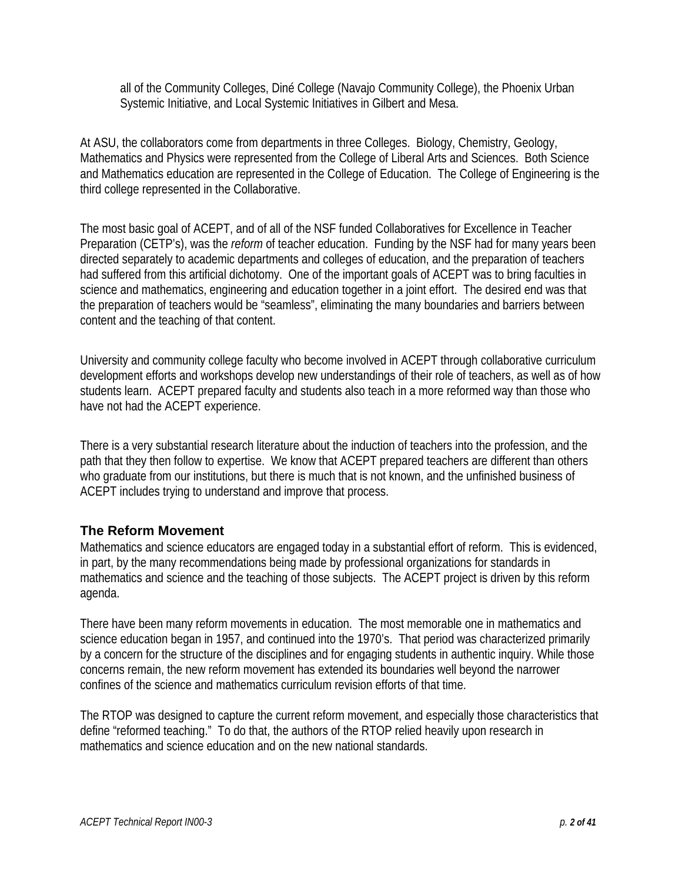all of the Community Colleges, Diné College (Navajo Community College), the Phoenix Urban Systemic Initiative, and Local Systemic Initiatives in Gilbert and Mesa.

At ASU, the collaborators come from departments in three Colleges. Biology, Chemistry, Geology, Mathematics and Physics were represented from the College of Liberal Arts and Sciences. Both Science and Mathematics education are represented in the College of Education. The College of Engineering is the third college represented in the Collaborative.

The most basic goal of ACEPT, and of all of the NSF funded Collaboratives for Excellence in Teacher Preparation (CETP's), was the *reform* of teacher education. Funding by the NSF had for many years been directed separately to academic departments and colleges of education, and the preparation of teachers had suffered from this artificial dichotomy. One of the important goals of ACEPT was to bring faculties in science and mathematics, engineering and education together in a joint effort. The desired end was that the preparation of teachers would be "seamless", eliminating the many boundaries and barriers between content and the teaching of that content.

University and community college faculty who become involved in ACEPT through collaborative curriculum development efforts and workshops develop new understandings of their role of teachers, as well as of how students learn. ACEPT prepared faculty and students also teach in a more reformed way than those who have not had the ACEPT experience.

There is a very substantial research literature about the induction of teachers into the profession, and the path that they then follow to expertise. We know that ACEPT prepared teachers are different than others who graduate from our institutions, but there is much that is not known, and the unfinished business of ACEPT includes trying to understand and improve that process.

## **The Reform Movement**

Mathematics and science educators are engaged today in a substantial effort of reform. This is evidenced, in part, by the many recommendations being made by professional organizations for standards in mathematics and science and the teaching of those subjects. The ACEPT project is driven by this reform agenda.

There have been many reform movements in education. The most memorable one in mathematics and science education began in 1957, and continued into the 1970's. That period was characterized primarily by a concern for the structure of the disciplines and for engaging students in authentic inquiry. While those concerns remain, the new reform movement has extended its boundaries well beyond the narrower confines of the science and mathematics curriculum revision efforts of that time.

The RTOP was designed to capture the current reform movement, and especially those characteristics that define "reformed teaching." To do that, the authors of the RTOP relied heavily upon research in mathematics and science education and on the new national standards.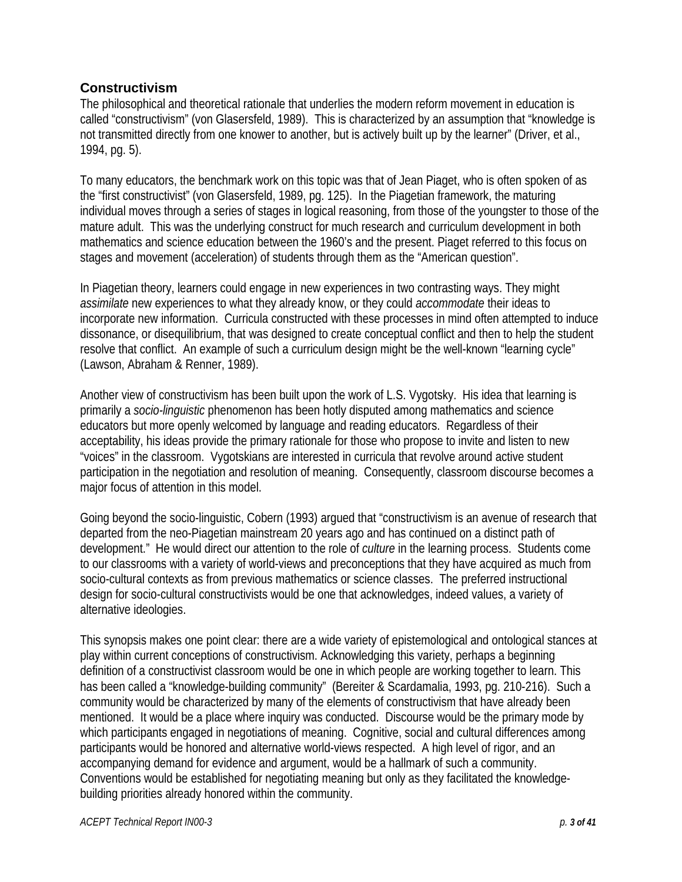## **Constructivism**

The philosophical and theoretical rationale that underlies the modern reform movement in education is called "constructivism" (von Glasersfeld, 1989). This is characterized by an assumption that "knowledge is not transmitted directly from one knower to another, but is actively built up by the learner" (Driver, et al., 1994, pg. 5).

To many educators, the benchmark work on this topic was that of Jean Piaget, who is often spoken of as the "first constructivist" (von Glasersfeld, 1989, pg. 125). In the Piagetian framework, the maturing individual moves through a series of stages in logical reasoning, from those of the youngster to those of the mature adult. This was the underlying construct for much research and curriculum development in both mathematics and science education between the 1960's and the present. Piaget referred to this focus on stages and movement (acceleration) of students through them as the "American question".

In Piagetian theory, learners could engage in new experiences in two contrasting ways. They might *assimilate* new experiences to what they already know, or they could *accommodate* their ideas to incorporate new information. Curricula constructed with these processes in mind often attempted to induce dissonance, or disequilibrium, that was designed to create conceptual conflict and then to help the student resolve that conflict. An example of such a curriculum design might be the well-known "learning cycle" (Lawson, Abraham & Renner, 1989).

Another view of constructivism has been built upon the work of L.S. Vygotsky. His idea that learning is primarily a *socio-linguistic* phenomenon has been hotly disputed among mathematics and science educators but more openly welcomed by language and reading educators. Regardless of their acceptability, his ideas provide the primary rationale for those who propose to invite and listen to new "voices" in the classroom. Vygotskians are interested in curricula that revolve around active student participation in the negotiation and resolution of meaning. Consequently, classroom discourse becomes a major focus of attention in this model.

Going beyond the socio-linguistic, Cobern (1993) argued that "constructivism is an avenue of research that departed from the neo-Piagetian mainstream 20 years ago and has continued on a distinct path of development." He would direct our attention to the role of *culture* in the learning process. Students come to our classrooms with a variety of world-views and preconceptions that they have acquired as much from socio-cultural contexts as from previous mathematics or science classes. The preferred instructional design for socio-cultural constructivists would be one that acknowledges, indeed values, a variety of alternative ideologies.

This synopsis makes one point clear: there are a wide variety of epistemological and ontological stances at play within current conceptions of constructivism. Acknowledging this variety, perhaps a beginning definition of a constructivist classroom would be one in which people are working together to learn. This has been called a "knowledge-building community" (Bereiter & Scardamalia, 1993, pg. 210-216). Such a community would be characterized by many of the elements of constructivism that have already been mentioned. It would be a place where inquiry was conducted. Discourse would be the primary mode by which participants engaged in negotiations of meaning. Cognitive, social and cultural differences among participants would be honored and alternative world-views respected. A high level of rigor, and an accompanying demand for evidence and argument, would be a hallmark of such a community. Conventions would be established for negotiating meaning but only as they facilitated the knowledgebuilding priorities already honored within the community.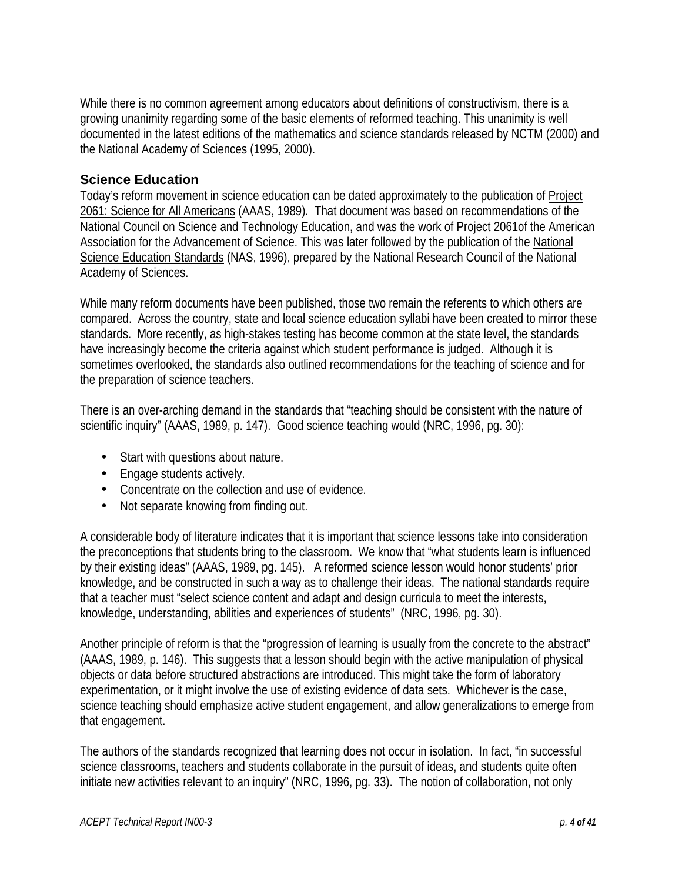While there is no common agreement among educators about definitions of constructivism, there is a growing unanimity regarding some of the basic elements of reformed teaching. This unanimity is well documented in the latest editions of the mathematics and science standards released by NCTM (2000) and the National Academy of Sciences (1995, 2000).

## **Science Education**

Today's reform movement in science education can be dated approximately to the publication of Project 2061: Science for All Americans (AAAS, 1989). That document was based on recommendations of the National Council on Science and Technology Education, and was the work of Project 2061of the American Association for the Advancement of Science. This was later followed by the publication of the National Science Education Standards (NAS, 1996), prepared by the National Research Council of the National Academy of Sciences.

While many reform documents have been published, those two remain the referents to which others are compared. Across the country, state and local science education syllabi have been created to mirror these standards. More recently, as high-stakes testing has become common at the state level, the standards have increasingly become the criteria against which student performance is judged. Although it is sometimes overlooked, the standards also outlined recommendations for the teaching of science and for the preparation of science teachers.

There is an over-arching demand in the standards that "teaching should be consistent with the nature of scientific inquiry" (AAAS, 1989, p. 147). Good science teaching would (NRC, 1996, pg. 30):

- Start with questions about nature.
- Engage students actively.
- Concentrate on the collection and use of evidence.
- Not separate knowing from finding out.

A considerable body of literature indicates that it is important that science lessons take into consideration the preconceptions that students bring to the classroom. We know that "what students learn is influenced by their existing ideas" (AAAS, 1989, pg. 145). A reformed science lesson would honor students' prior knowledge, and be constructed in such a way as to challenge their ideas. The national standards require that a teacher must "select science content and adapt and design curricula to meet the interests, knowledge, understanding, abilities and experiences of students" (NRC, 1996, pg. 30).

Another principle of reform is that the "progression of learning is usually from the concrete to the abstract" (AAAS, 1989, p. 146). This suggests that a lesson should begin with the active manipulation of physical objects or data before structured abstractions are introduced. This might take the form of laboratory experimentation, or it might involve the use of existing evidence of data sets. Whichever is the case, science teaching should emphasize active student engagement, and allow generalizations to emerge from that engagement.

The authors of the standards recognized that learning does not occur in isolation. In fact, "in successful science classrooms, teachers and students collaborate in the pursuit of ideas, and students quite often initiate new activities relevant to an inquiry" (NRC, 1996, pg. 33). The notion of collaboration, not only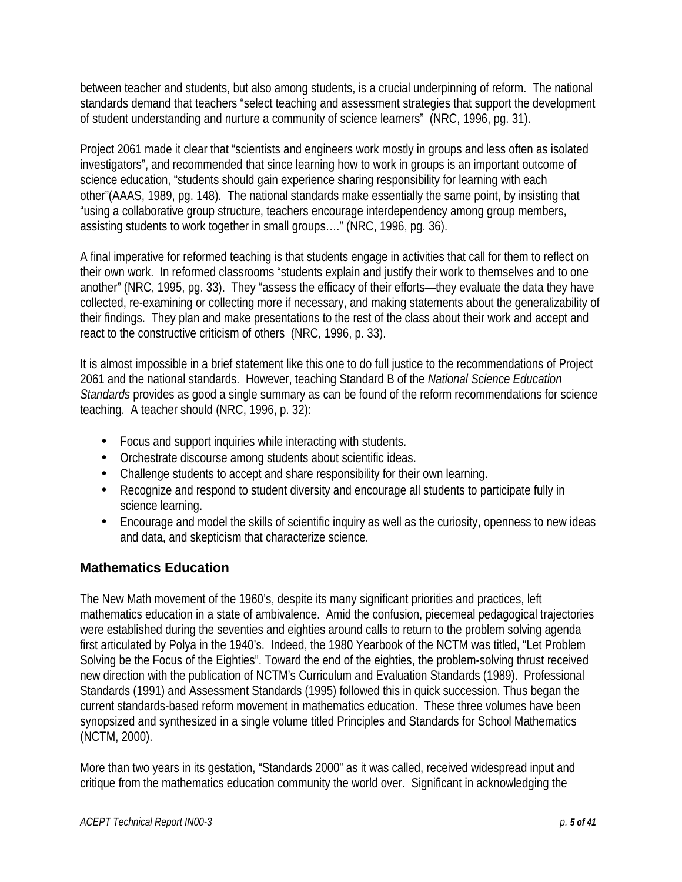between teacher and students, but also among students, is a crucial underpinning of reform. The national standards demand that teachers "select teaching and assessment strategies that support the development of student understanding and nurture a community of science learners" (NRC, 1996, pg. 31).

Project 2061 made it clear that "scientists and engineers work mostly in groups and less often as isolated investigators", and recommended that since learning how to work in groups is an important outcome of science education, "students should gain experience sharing responsibility for learning with each other"(AAAS, 1989, pg. 148). The national standards make essentially the same point, by insisting that "using a collaborative group structure, teachers encourage interdependency among group members, assisting students to work together in small groups…." (NRC, 1996, pg. 36).

A final imperative for reformed teaching is that students engage in activities that call for them to reflect on their own work. In reformed classrooms "students explain and justify their work to themselves and to one another" (NRC, 1995, pg. 33). They "assess the efficacy of their efforts—they evaluate the data they have collected, re-examining or collecting more if necessary, and making statements about the generalizability of their findings. They plan and make presentations to the rest of the class about their work and accept and react to the constructive criticism of others (NRC, 1996, p. 33).

It is almost impossible in a brief statement like this one to do full justice to the recommendations of Project 2061 and the national standards. However, teaching Standard B of the *National Science Education Standards* provides as good a single summary as can be found of the reform recommendations for science teaching. A teacher should (NRC, 1996, p. 32):

- Focus and support inquiries while interacting with students.
- Orchestrate discourse among students about scientific ideas.
- Challenge students to accept and share responsibility for their own learning.
- Recognize and respond to student diversity and encourage all students to participate fully in science learning.
- Encourage and model the skills of scientific inquiry as well as the curiosity, openness to new ideas and data, and skepticism that characterize science.

# **Mathematics Education**

The New Math movement of the 1960's, despite its many significant priorities and practices, left mathematics education in a state of ambivalence. Amid the confusion, piecemeal pedagogical trajectories were established during the seventies and eighties around calls to return to the problem solving agenda first articulated by Polya in the 1940's. Indeed, the 1980 Yearbook of the NCTM was titled, "Let Problem Solving be the Focus of the Eighties". Toward the end of the eighties, the problem-solving thrust received new direction with the publication of NCTM's Curriculum and Evaluation Standards (1989). Professional Standards (1991) and Assessment Standards (1995) followed this in quick succession. Thus began the current standards-based reform movement in mathematics education. These three volumes have been synopsized and synthesized in a single volume titled Principles and Standards for School Mathematics (NCTM, 2000).

More than two years in its gestation, "Standards 2000" as it was called, received widespread input and critique from the mathematics education community the world over. Significant in acknowledging the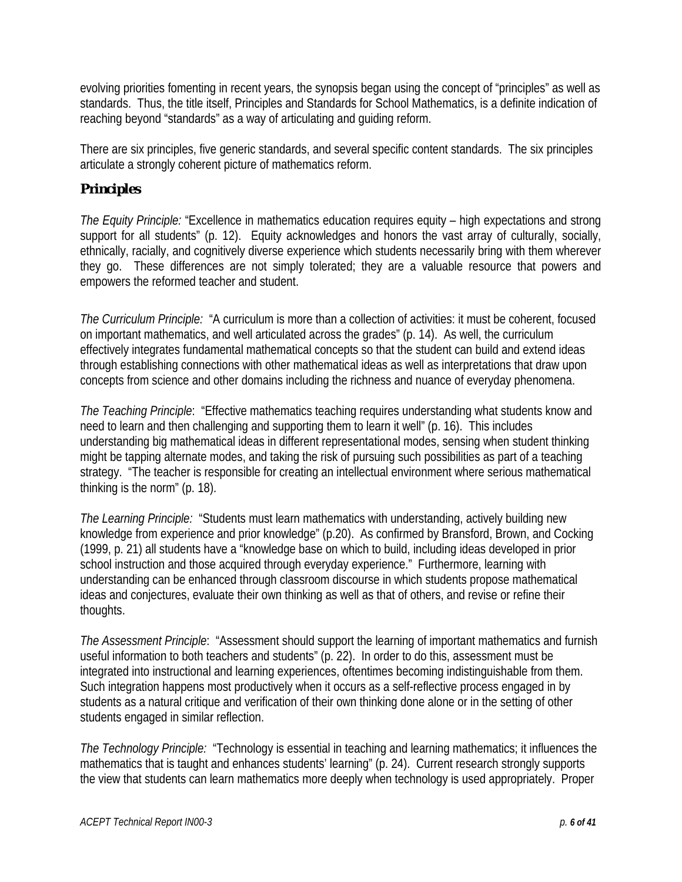evolving priorities fomenting in recent years, the synopsis began using the concept of "principles" as well as standards. Thus, the title itself, Principles and Standards for School Mathematics, is a definite indication of reaching beyond "standards" as a way of articulating and guiding reform.

There are six principles, five generic standards, and several specific content standards. The six principles articulate a strongly coherent picture of mathematics reform.

# *Principles*

*The Equity Principle:* "Excellence in mathematics education requires equity – high expectations and strong support for all students" (p. 12). Equity acknowledges and honors the vast array of culturally, socially, ethnically, racially, and cognitively diverse experience which students necessarily bring with them wherever they go. These differences are not simply tolerated; they are a valuable resource that powers and empowers the reformed teacher and student.

*The Curriculum Principle:* "A curriculum is more than a collection of activities: it must be coherent, focused on important mathematics, and well articulated across the grades" (p. 14). As well, the curriculum effectively integrates fundamental mathematical concepts so that the student can build and extend ideas through establishing connections with other mathematical ideas as well as interpretations that draw upon concepts from science and other domains including the richness and nuance of everyday phenomena.

*The Teaching Principle*: "Effective mathematics teaching requires understanding what students know and need to learn and then challenging and supporting them to learn it well" (p. 16). This includes understanding big mathematical ideas in different representational modes, sensing when student thinking might be tapping alternate modes, and taking the risk of pursuing such possibilities as part of a teaching strategy. "The teacher is responsible for creating an intellectual environment where serious mathematical thinking is the norm" (p. 18).

*The Learning Principle:* "Students must learn mathematics with understanding, actively building new knowledge from experience and prior knowledge" (p.20). As confirmed by Bransford, Brown, and Cocking (1999, p. 21) all students have a "knowledge base on which to build, including ideas developed in prior school instruction and those acquired through everyday experience." Furthermore, learning with understanding can be enhanced through classroom discourse in which students propose mathematical ideas and conjectures, evaluate their own thinking as well as that of others, and revise or refine their thoughts.

*The Assessment Principle*: "Assessment should support the learning of important mathematics and furnish useful information to both teachers and students" (p. 22). In order to do this, assessment must be integrated into instructional and learning experiences, oftentimes becoming indistinguishable from them. Such integration happens most productively when it occurs as a self-reflective process engaged in by students as a natural critique and verification of their own thinking done alone or in the setting of other students engaged in similar reflection.

*The Technology Principle:* "Technology is essential in teaching and learning mathematics; it influences the mathematics that is taught and enhances students' learning" (p. 24). Current research strongly supports the view that students can learn mathematics more deeply when technology is used appropriately. Proper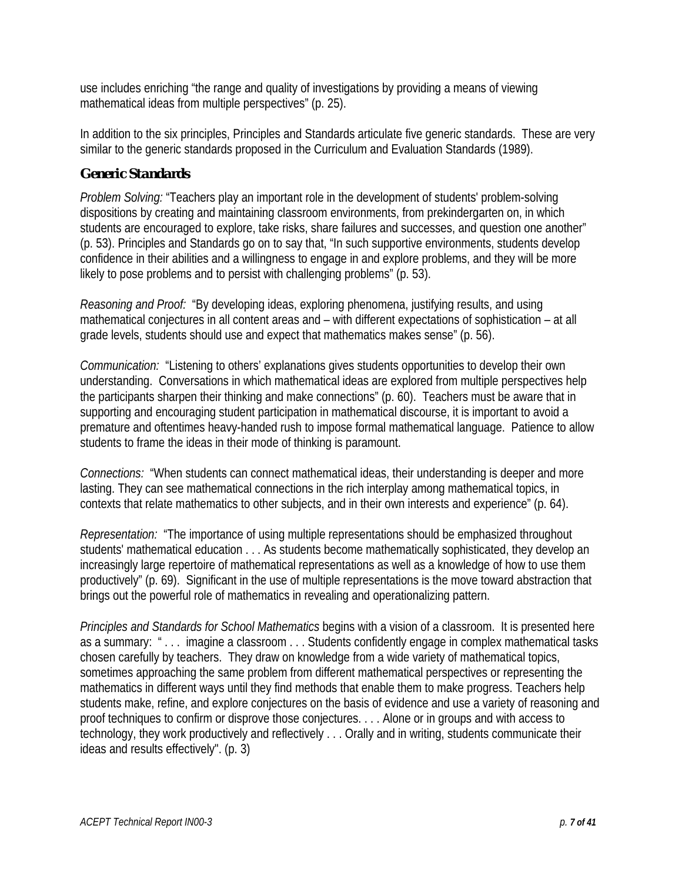use includes enriching "the range and quality of investigations by providing a means of viewing mathematical ideas from multiple perspectives" (p. 25).

In addition to the six principles, Principles and Standards articulate five generic standards. These are very similar to the generic standards proposed in the Curriculum and Evaluation Standards (1989).

## *Generic Standards*

*Problem Solving:* "Teachers play an important role in the development of students' problem-solving dispositions by creating and maintaining classroom environments, from prekindergarten on, in which students are encouraged to explore, take risks, share failures and successes, and question one another" (p. 53). Principles and Standards go on to say that, "In such supportive environments, students develop confidence in their abilities and a willingness to engage in and explore problems, and they will be more likely to pose problems and to persist with challenging problems" (p. 53).

*Reasoning and Proof:* "By developing ideas, exploring phenomena, justifying results, and using mathematical conjectures in all content areas and – with different expectations of sophistication – at all grade levels, students should use and expect that mathematics makes sense" (p. 56).

*Communication:* "Listening to others' explanations gives students opportunities to develop their own understanding. Conversations in which mathematical ideas are explored from multiple perspectives help the participants sharpen their thinking and make connections" (p. 60). Teachers must be aware that in supporting and encouraging student participation in mathematical discourse, it is important to avoid a premature and oftentimes heavy-handed rush to impose formal mathematical language. Patience to allow students to frame the ideas in their mode of thinking is paramount.

*Connections:* "When students can connect mathematical ideas, their understanding is deeper and more lasting. They can see mathematical connections in the rich interplay among mathematical topics, in contexts that relate mathematics to other subjects, and in their own interests and experience" (p. 64).

*Representation:* "The importance of using multiple representations should be emphasized throughout students' mathematical education . . . As students become mathematically sophisticated, they develop an increasingly large repertoire of mathematical representations as well as a knowledge of how to use them productively" (p. 69). Significant in the use of multiple representations is the move toward abstraction that brings out the powerful role of mathematics in revealing and operationalizing pattern.

*Principles and Standards for School Mathematics* begins with a vision of a classroom. It is presented here as a summary: " . . . imagine a classroom . . . Students confidently engage in complex mathematical tasks chosen carefully by teachers. They draw on knowledge from a wide variety of mathematical topics, sometimes approaching the same problem from different mathematical perspectives or representing the mathematics in different ways until they find methods that enable them to make progress. Teachers help students make, refine, and explore conjectures on the basis of evidence and use a variety of reasoning and proof techniques to confirm or disprove those conjectures. . . . Alone or in groups and with access to technology, they work productively and reflectively . . . Orally and in writing, students communicate their ideas and results effectively". (p. 3)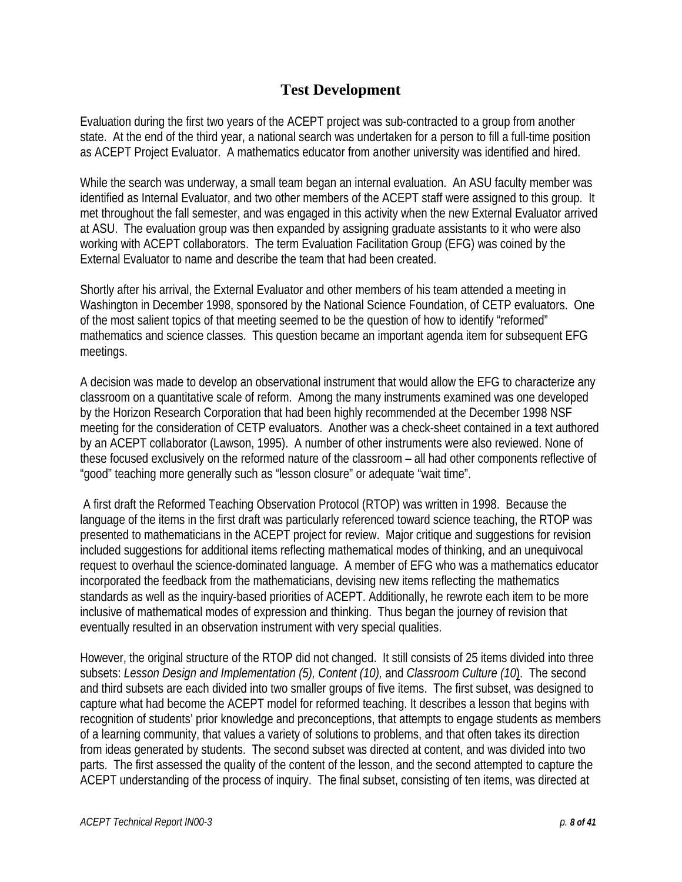# **Test Development**

Evaluation during the first two years of the ACEPT project was sub-contracted to a group from another state. At the end of the third year, a national search was undertaken for a person to fill a full-time position as ACEPT Project Evaluator. A mathematics educator from another university was identified and hired.

While the search was underway, a small team began an internal evaluation. An ASU faculty member was identified as Internal Evaluator, and two other members of the ACEPT staff were assigned to this group. It met throughout the fall semester, and was engaged in this activity when the new External Evaluator arrived at ASU. The evaluation group was then expanded by assigning graduate assistants to it who were also working with ACEPT collaborators. The term Evaluation Facilitation Group (EFG) was coined by the External Evaluator to name and describe the team that had been created.

Shortly after his arrival, the External Evaluator and other members of his team attended a meeting in Washington in December 1998, sponsored by the National Science Foundation, of CETP evaluators. One of the most salient topics of that meeting seemed to be the question of how to identify "reformed" mathematics and science classes. This question became an important agenda item for subsequent EFG meetings.

A decision was made to develop an observational instrument that would allow the EFG to characterize any classroom on a quantitative scale of reform. Among the many instruments examined was one developed by the Horizon Research Corporation that had been highly recommended at the December 1998 NSF meeting for the consideration of CETP evaluators. Another was a check-sheet contained in a text authored by an ACEPT collaborator (Lawson, 1995). A number of other instruments were also reviewed. None of these focused exclusively on the reformed nature of the classroom – all had other components reflective of "good" teaching more generally such as "lesson closure" or adequate "wait time".

 A first draft the Reformed Teaching Observation Protocol (RTOP) was written in 1998. Because the language of the items in the first draft was particularly referenced toward science teaching, the RTOP was presented to mathematicians in the ACEPT project for review. Major critique and suggestions for revision included suggestions for additional items reflecting mathematical modes of thinking, and an unequivocal request to overhaul the science-dominated language. A member of EFG who was a mathematics educator incorporated the feedback from the mathematicians, devising new items reflecting the mathematics standards as well as the inquiry-based priorities of ACEPT. Additionally, he rewrote each item to be more inclusive of mathematical modes of expression and thinking. Thus began the journey of revision that eventually resulted in an observation instrument with very special qualities.

However, the original structure of the RTOP did not changed. It still consists of 25 items divided into three subsets: *Lesson Design and Implementation (5), Content (10),* and *Classroom Culture (10*). The second and third subsets are each divided into two smaller groups of five items. The first subset, was designed to capture what had become the ACEPT model for reformed teaching. It describes a lesson that begins with recognition of students' prior knowledge and preconceptions, that attempts to engage students as members of a learning community, that values a variety of solutions to problems, and that often takes its direction from ideas generated by students. The second subset was directed at content, and was divided into two parts. The first assessed the quality of the content of the lesson, and the second attempted to capture the ACEPT understanding of the process of inquiry. The final subset, consisting of ten items, was directed at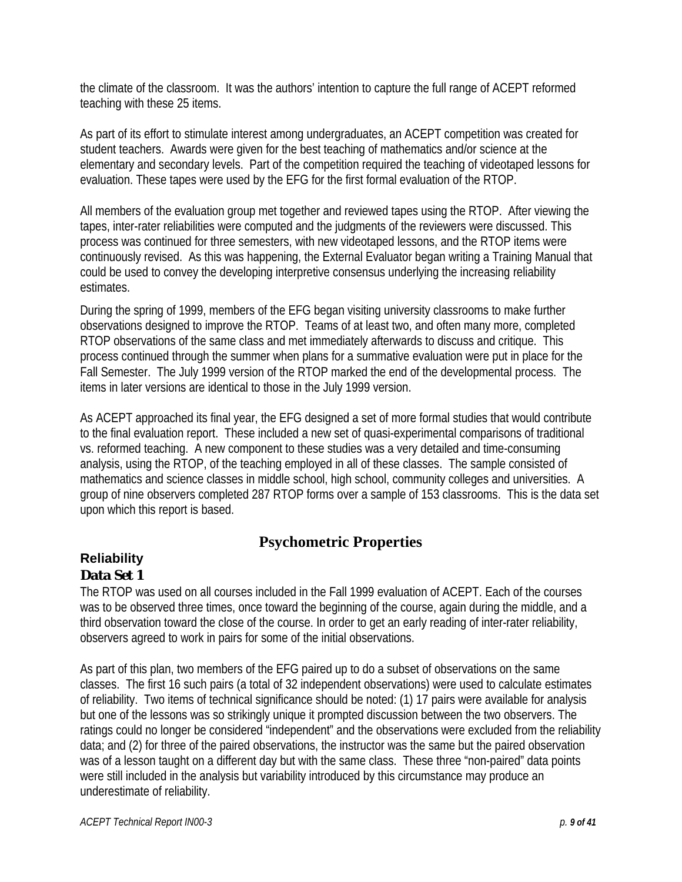the climate of the classroom. It was the authors' intention to capture the full range of ACEPT reformed teaching with these 25 items.

As part of its effort to stimulate interest among undergraduates, an ACEPT competition was created for student teachers. Awards were given for the best teaching of mathematics and/or science at the elementary and secondary levels. Part of the competition required the teaching of videotaped lessons for evaluation. These tapes were used by the EFG for the first formal evaluation of the RTOP.

All members of the evaluation group met together and reviewed tapes using the RTOP. After viewing the tapes, inter-rater reliabilities were computed and the judgments of the reviewers were discussed. This process was continued for three semesters, with new videotaped lessons, and the RTOP items were continuously revised. As this was happening, the External Evaluator began writing a Training Manual that could be used to convey the developing interpretive consensus underlying the increasing reliability estimates.

During the spring of 1999, members of the EFG began visiting university classrooms to make further observations designed to improve the RTOP. Teams of at least two, and often many more, completed RTOP observations of the same class and met immediately afterwards to discuss and critique. This process continued through the summer when plans for a summative evaluation were put in place for the Fall Semester. The July 1999 version of the RTOP marked the end of the developmental process. The items in later versions are identical to those in the July 1999 version.

As ACEPT approached its final year, the EFG designed a set of more formal studies that would contribute to the final evaluation report. These included a new set of quasi-experimental comparisons of traditional vs. reformed teaching. A new component to these studies was a very detailed and time-consuming analysis, using the RTOP, of the teaching employed in all of these classes. The sample consisted of mathematics and science classes in middle school, high school, community colleges and universities. A group of nine observers completed 287 RTOP forms over a sample of 153 classrooms. This is the data set upon which this report is based.

# **Psychometric Properties**

# **Reliability**

# *Data Set 1*

The RTOP was used on all courses included in the Fall 1999 evaluation of ACEPT. Each of the courses was to be observed three times, once toward the beginning of the course, again during the middle, and a third observation toward the close of the course. In order to get an early reading of inter-rater reliability, observers agreed to work in pairs for some of the initial observations.

As part of this plan, two members of the EFG paired up to do a subset of observations on the same classes. The first 16 such pairs (a total of 32 independent observations) were used to calculate estimates of reliability. Two items of technical significance should be noted: (1) 17 pairs were available for analysis but one of the lessons was so strikingly unique it prompted discussion between the two observers. The ratings could no longer be considered "independent" and the observations were excluded from the reliability data; and (2) for three of the paired observations, the instructor was the same but the paired observation was of a lesson taught on a different day but with the same class. These three "non-paired" data points were still included in the analysis but variability introduced by this circumstance may produce an underestimate of reliability.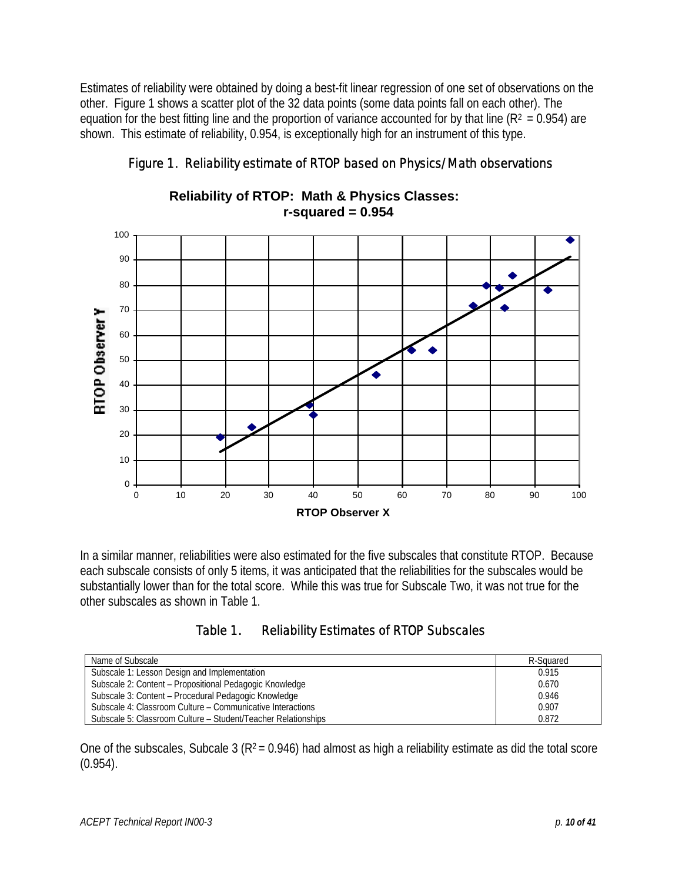Estimates of reliability were obtained by doing a best-fit linear regression of one set of observations on the other. Figure 1 shows a scatter plot of the 32 data points (some data points fall on each other). The equation for the best fitting line and the proportion of variance accounted for by that line ( $R^2 = 0.954$ ) are shown. This estimate of reliability, 0.954, is exceptionally high for an instrument of this type.



# Figure 1. Reliability estimate of RTOP based on Physics/Math observations

In a similar manner, reliabilities were also estimated for the five subscales that constitute RTOP. Because each subscale consists of only 5 items, it was anticipated that the reliabilities for the subscales would be substantially lower than for the total score. While this was true for Subscale Two, it was not true for the other subscales as shown in Table 1.

| <b>Reliability Estimates of RTOP Subscales</b> | Table 1. |  |  |  |  |
|------------------------------------------------|----------|--|--|--|--|
|------------------------------------------------|----------|--|--|--|--|

| Name of Subscale                                              | R-Squared |
|---------------------------------------------------------------|-----------|
| Subscale 1: Lesson Design and Implementation                  | 0.915     |
| Subscale 2: Content - Propositional Pedagogic Knowledge       | 0.670     |
| Subscale 3: Content - Procedural Pedagogic Knowledge          | 0.946     |
| Subscale 4: Classroom Culture – Communicative Interactions    | 0.907     |
| Subscale 5: Classroom Culture – Student/Teacher Relationships | 0.872     |

One of the subscales, Subcale 3 ( $R^2$  = 0.946) had almost as high a reliability estimate as did the total score (0.954).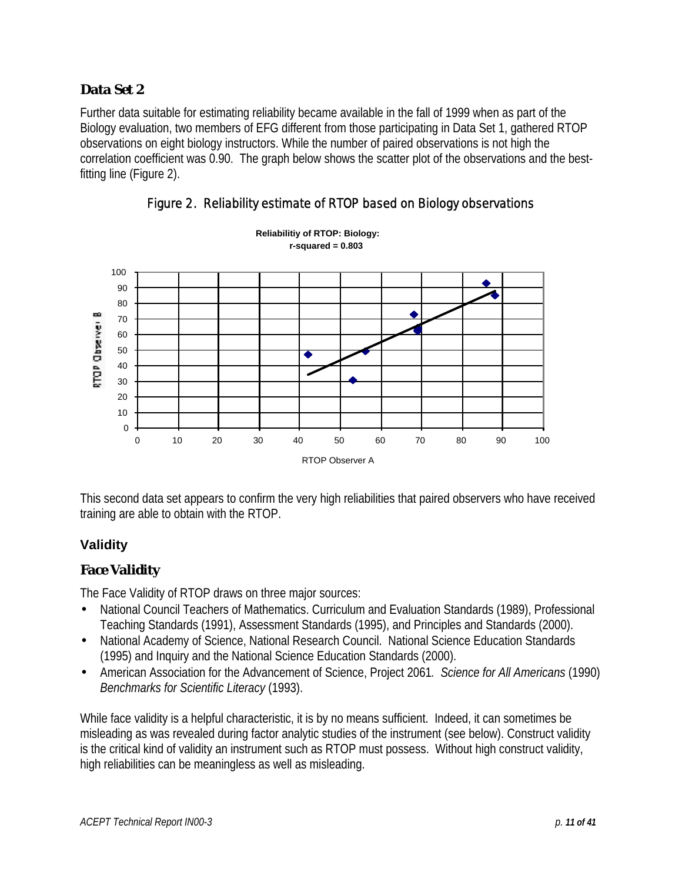# *Data Set 2*

Further data suitable for estimating reliability became available in the fall of 1999 when as part of the Biology evaluation, two members of EFG different from those participating in Data Set 1, gathered RTOP observations on eight biology instructors. While the number of paired observations is not high the correlation coefficient was 0.90. The graph below shows the scatter plot of the observations and the bestfitting line (Figure 2).





This second data set appears to confirm the very high reliabilities that paired observers who have received training are able to obtain with the RTOP.

# **Validity**

# *Face Validity*

The Face Validity of RTOP draws on three major sources:

- National Council Teachers of Mathematics. Curriculum and Evaluation Standards (1989), Professional Teaching Standards (1991), Assessment Standards (1995), and Principles and Standards (2000).
- National Academy of Science, National Research Council. National Science Education Standards (1995) and Inquiry and the National Science Education Standards (2000).
- American Association for the Advancement of Science, Project 2061*. Science for All Americans* (1990) *Benchmarks for Scientific Literacy* (1993).

While face validity is a helpful characteristic, it is by no means sufficient. Indeed, it can sometimes be misleading as was revealed during factor analytic studies of the instrument (see below). Construct validity is the critical kind of validity an instrument such as RTOP must possess. Without high construct validity, high reliabilities can be meaningless as well as misleading.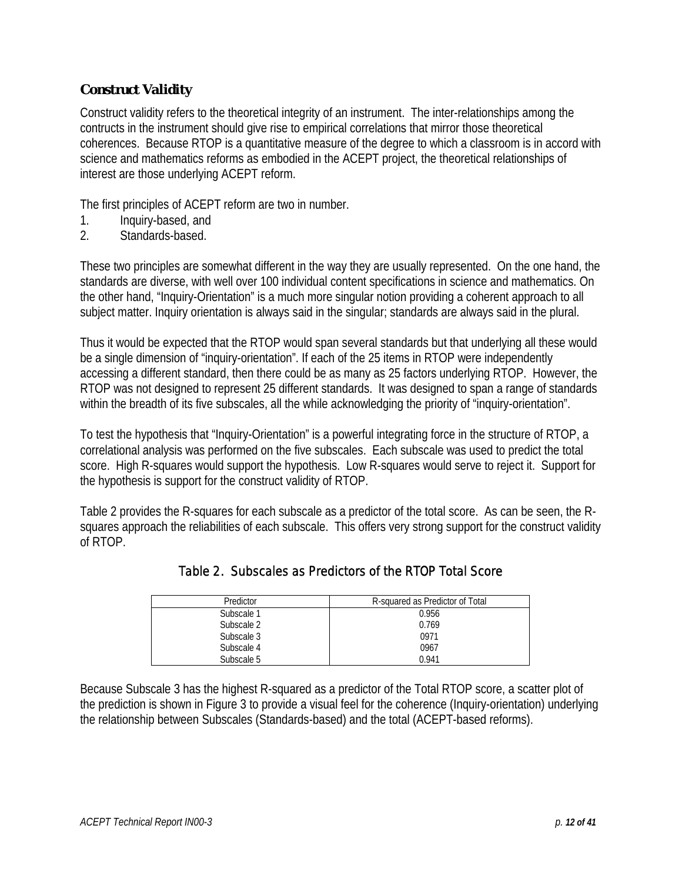# *Construct Validity*

Construct validity refers to the theoretical integrity of an instrument. The inter-relationships among the contructs in the instrument should give rise to empirical correlations that mirror those theoretical coherences. Because RTOP is a quantitative measure of the degree to which a classroom is in accord with science and mathematics reforms as embodied in the ACEPT project, the theoretical relationships of interest are those underlying ACEPT reform.

The first principles of ACEPT reform are two in number.

- 1. Inquiry-based, and
- 2. Standards-based.

These two principles are somewhat different in the way they are usually represented. On the one hand, the standards are diverse, with well over 100 individual content specifications in science and mathematics. On the other hand, "Inquiry-Orientation" is a much more singular notion providing a coherent approach to all subject matter. Inquiry orientation is always said in the singular; standards are always said in the plural.

Thus it would be expected that the RTOP would span several standards but that underlying all these would be a single dimension of "inquiry-orientation". If each of the 25 items in RTOP were independently accessing a different standard, then there could be as many as 25 factors underlying RTOP. However, the RTOP was not designed to represent 25 different standards. It was designed to span a range of standards within the breadth of its five subscales, all the while acknowledging the priority of "inquiry-orientation".

To test the hypothesis that "Inquiry-Orientation" is a powerful integrating force in the structure of RTOP, a correlational analysis was performed on the five subscales. Each subscale was used to predict the total score. High R-squares would support the hypothesis. Low R-squares would serve to reject it. Support for the hypothesis is support for the construct validity of RTOP.

Table 2 provides the R-squares for each subscale as a predictor of the total score. As can be seen, the Rsquares approach the reliabilities of each subscale. This offers very strong support for the construct validity of RTOP.

| Predictor  | R-squared as Predictor of Total |
|------------|---------------------------------|
| Subscale 1 | 0.956                           |
| Subscale 2 | 0.769                           |
| Subscale 3 | 0971                            |
| Subscale 4 | 0967                            |
| Subscale 5 | 0.941                           |

# Table 2. Subscales as Predictors of the RTOP Total Score

Because Subscale 3 has the highest R-squared as a predictor of the Total RTOP score, a scatter plot of the prediction is shown in Figure 3 to provide a visual feel for the coherence (Inquiry-orientation) underlying the relationship between Subscales (Standards-based) and the total (ACEPT-based reforms).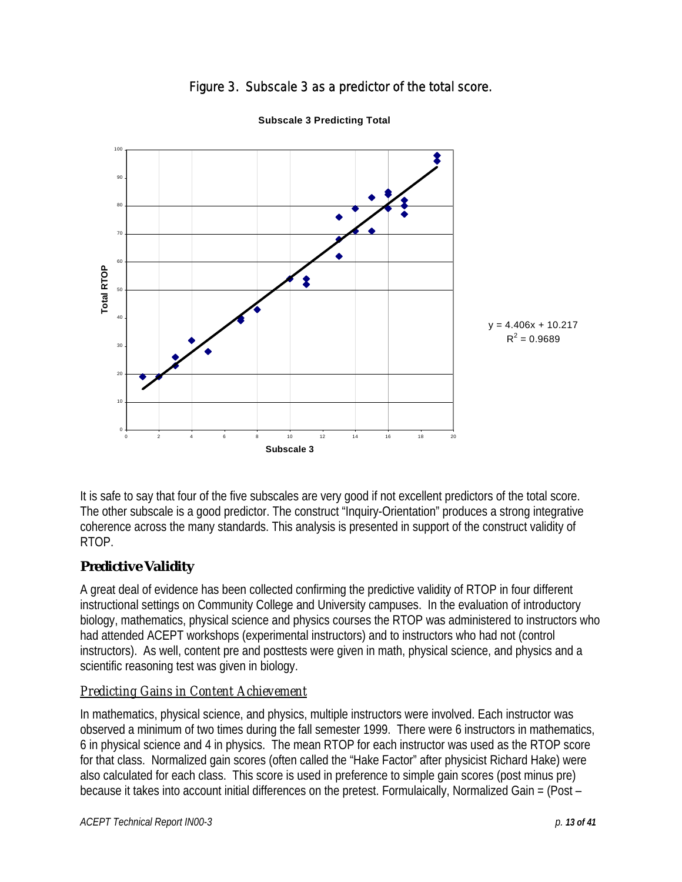



**Subscale 3 Predicting Total**

It is safe to say that four of the five subscales are very good if not excellent predictors of the total score. The other subscale is a good predictor. The construct "Inquiry-Orientation" produces a strong integrative coherence across the many standards. This analysis is presented in support of the construct validity of RTOP.

# *Predictive Validity*

A great deal of evidence has been collected confirming the predictive validity of RTOP in four different instructional settings on Community College and University campuses. In the evaluation of introductory biology, mathematics, physical science and physics courses the RTOP was administered to instructors who had attended ACEPT workshops (experimental instructors) and to instructors who had not (control instructors). As well, content pre and posttests were given in math, physical science, and physics and a scientific reasoning test was given in biology.

# *Predicting Gains in Content Achievement*

In mathematics, physical science, and physics, multiple instructors were involved. Each instructor was observed a minimum of two times during the fall semester 1999. There were 6 instructors in mathematics, 6 in physical science and 4 in physics. The mean RTOP for each instructor was used as the RTOP score for that class. Normalized gain scores (often called the "Hake Factor" after physicist Richard Hake) were also calculated for each class. This score is used in preference to simple gain scores (post minus pre) because it takes into account initial differences on the pretest. Formulaically, Normalized Gain = (Post –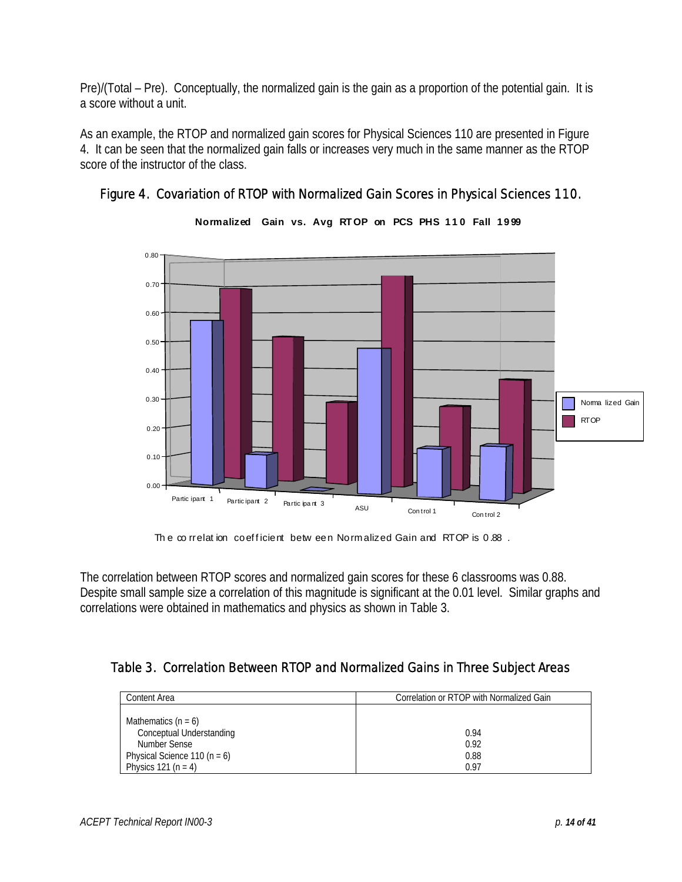Pre)/(Total – Pre). Conceptually, the normalized gain is the gain as a proportion of the potential gain. It is a score without a unit.

As an example, the RTOP and normalized gain scores for Physical Sciences 110 are presented in Figure 4. It can be seen that the normalized gain falls or increases very much in the same manner as the RTOP score of the instructor of the class.





Normalized Gain vs. Avg RT OP on PCS PHS 110 Fall 1999

The correlation between RTOP scores and normalized gain scores for these 6 classrooms was 0.88. Despite small sample size a correlation of this magnitude is significant at the 0.01 level. Similar graphs and correlations were obtained in mathematics and physics as shown in Table 3.

# Table 3. Correlation Between RTOP and Normalized Gains in Three Subject Areas

| Content Area                     | Correlation or RTOP with Normalized Gain |
|----------------------------------|------------------------------------------|
|                                  |                                          |
| Mathematics $(n = 6)$            |                                          |
| <b>Conceptual Understanding</b>  | 0.94                                     |
| Number Sense                     | 0.92                                     |
| Physical Science 110 ( $n = 6$ ) | 0.88                                     |
| Physics 121 $(n = 4)$            | 0.97                                     |

The  $\infty$  rrelation co efficient betw een Normalized Gain and RTOP is 0.88.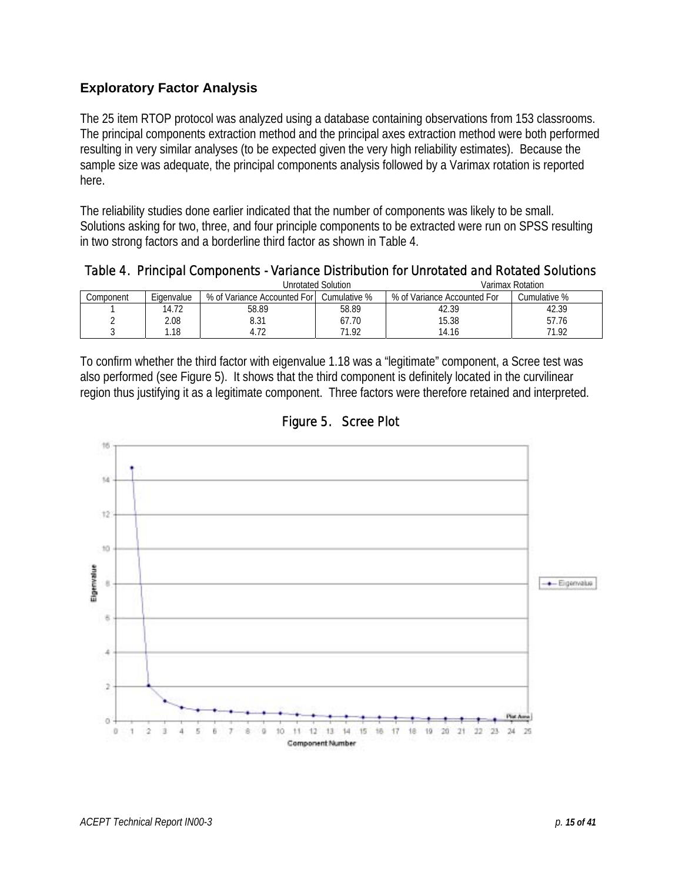# **Exploratory Factor Analysis**

The 25 item RTOP protocol was analyzed using a database containing observations from 153 classrooms. The principal components extraction method and the principal axes extraction method were both performed resulting in very similar analyses (to be expected given the very high reliability estimates). Because the sample size was adequate, the principal components analysis followed by a Varimax rotation is reported here.

The reliability studies done earlier indicated that the number of components was likely to be small. Solutions asking for two, three, and four principle components to be extracted were run on SPSS resulting in two strong factors and a borderline third factor as shown in Table 4.

|  |  | Table 4. Principal Components - Variance Distribution for Unrotated and Rotated Solutions |
|--|--|-------------------------------------------------------------------------------------------|
|--|--|-------------------------------------------------------------------------------------------|

|           | Unrotated Solution<br>Varimax Rotation |                             |              |                             |              |
|-----------|----------------------------------------|-----------------------------|--------------|-----------------------------|--------------|
| Component | Eigenvalue                             | % of Variance Accounted For | Cumulative % | % of Variance Accounted For | Cumulative % |
|           | 14.72                                  | 58.89                       | 58.89        | 42.39                       | 42.39        |
|           | 2.08                                   | 8.31                        | 67.70        | 15.38                       | 57.76        |
|           | .18                                    | $\overline{\phantom{a}}$    | 71.92        | 14.16                       | 71.92        |

To confirm whether the third factor with eigenvalue 1.18 was a "legitimate" component, a Scree test was also performed (see Figure 5). It shows that the third component is definitely located in the curvilinear region thus justifying it as a legitimate component. Three factors were therefore retained and interpreted.



# Figure 5. Scree Plot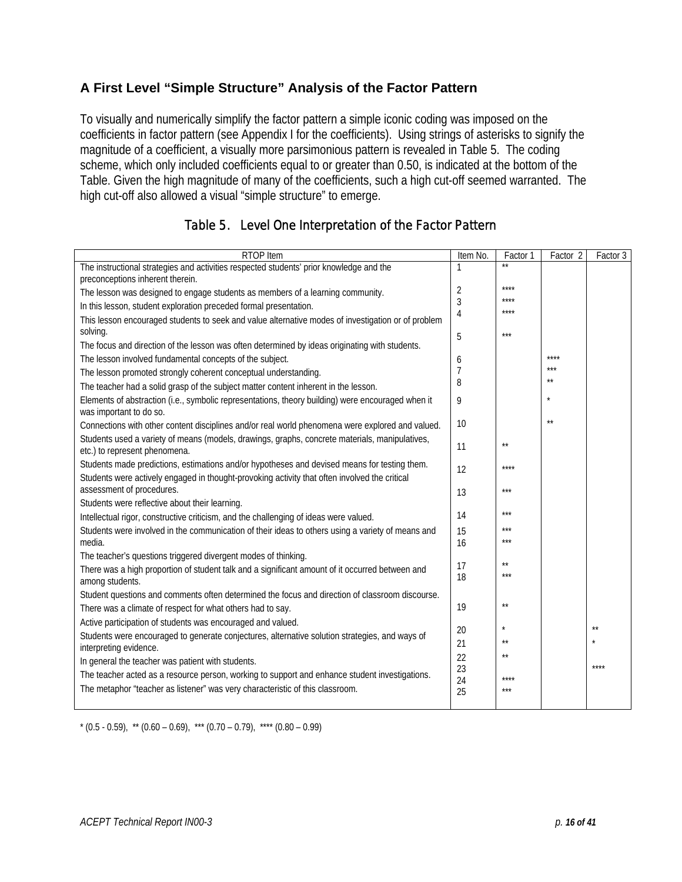# **A First Level "Simple Structure" Analysis of the Factor Pattern**

To visually and numerically simplify the factor pattern a simple iconic coding was imposed on the coefficients in factor pattern (see Appendix I for the coefficients). Using strings of asterisks to signify the magnitude of a coefficient, a visually more parsimonious pattern is revealed in Table 5. The coding scheme, which only included coefficients equal to or greater than 0.50, is indicated at the bottom of the Table. Given the high magnitude of many of the coefficients, such a high cut-off seemed warranted. The high cut-off also allowed a visual "simple structure" to emerge.

# Table 5. Level One Interpretation of the Factor Pattern

| RTOP Item                                                                                                                   | Item No.       | Factor 1  | Factor 2 | Factor 3 |
|-----------------------------------------------------------------------------------------------------------------------------|----------------|-----------|----------|----------|
| The instructional strategies and activities respected students' prior knowledge and the<br>preconceptions inherent therein. |                | $**$      |          |          |
| The lesson was designed to engage students as members of a learning community.                                              | 2              | ****      |          |          |
| In this lesson, student exploration preceded formal presentation.                                                           | 3              | ****      |          |          |
| This lesson encouraged students to seek and value alternative modes of investigation or of problem                          | $\overline{4}$ | ****      |          |          |
| solving.                                                                                                                    |                | ***       |          |          |
| The focus and direction of the lesson was often determined by ideas originating with students.                              | 5              |           |          |          |
| The lesson involved fundamental concepts of the subject.                                                                    | 6              |           | ****     |          |
| The lesson promoted strongly coherent conceptual understanding.                                                             | 7              |           |          |          |
| The teacher had a solid grasp of the subject matter content inherent in the lesson.                                         | 8              |           | $*$      |          |
| Elements of abstraction (i.e., symbolic representations, theory building) were encouraged when it                           | 9              |           |          |          |
| was important to do so.                                                                                                     |                |           |          |          |
| Connections with other content disciplines and/or real world phenomena were explored and valued.                            | 10             |           | $**$     |          |
| Students used a variety of means (models, drawings, graphs, concrete materials, manipulatives,                              |                | $**$      |          |          |
| etc.) to represent phenomena.                                                                                               | 11             |           |          |          |
| Students made predictions, estimations and/or hypotheses and devised means for testing them.                                | 12             | ****      |          |          |
| Students were actively engaged in thought-provoking activity that often involved the critical                               |                |           |          |          |
| assessment of procedures.                                                                                                   | 13             | ***       |          |          |
| Students were reflective about their learning.                                                                              |                |           |          |          |
| Intellectual rigor, constructive criticism, and the challenging of ideas were valued.                                       | 14             | ***       |          |          |
| Students were involved in the communication of their ideas to others using a variety of means and                           | 15             | $***$     |          |          |
| media.                                                                                                                      | 16             | ***       |          |          |
| The teacher's questions triggered divergent modes of thinking.                                                              | 17             | $**$      |          |          |
| There was a high proportion of student talk and a significant amount of it occurred between and                             | 18             | $***$     |          |          |
| among students.                                                                                                             |                |           |          |          |
| Student questions and comments often determined the focus and direction of classroom discourse.                             |                | $*$       |          |          |
| There was a climate of respect for what others had to say.                                                                  | 19             |           |          |          |
| Active participation of students was encouraged and valued.                                                                 | 20             |           |          | $**$     |
| Students were encouraged to generate conjectures, alternative solution strategies, and ways of                              | 21             | $*$       |          |          |
| interpreting evidence.                                                                                                      | 22             | $*$       |          |          |
| In general the teacher was patient with students.                                                                           | 23             |           |          | ****     |
| The teacher acted as a resource person, working to support and enhance student investigations.                              | 24             | $+ + + +$ |          |          |
| The metaphor "teacher as listener" was very characteristic of this classroom.                                               | 25             | ***       |          |          |
|                                                                                                                             |                |           |          |          |

 $*(0.5 - 0.59),$  \*\*  $(0.60 - 0.69),$  \*\*\*  $(0.70 - 0.79),$  \*\*\*\*  $(0.80 - 0.99)$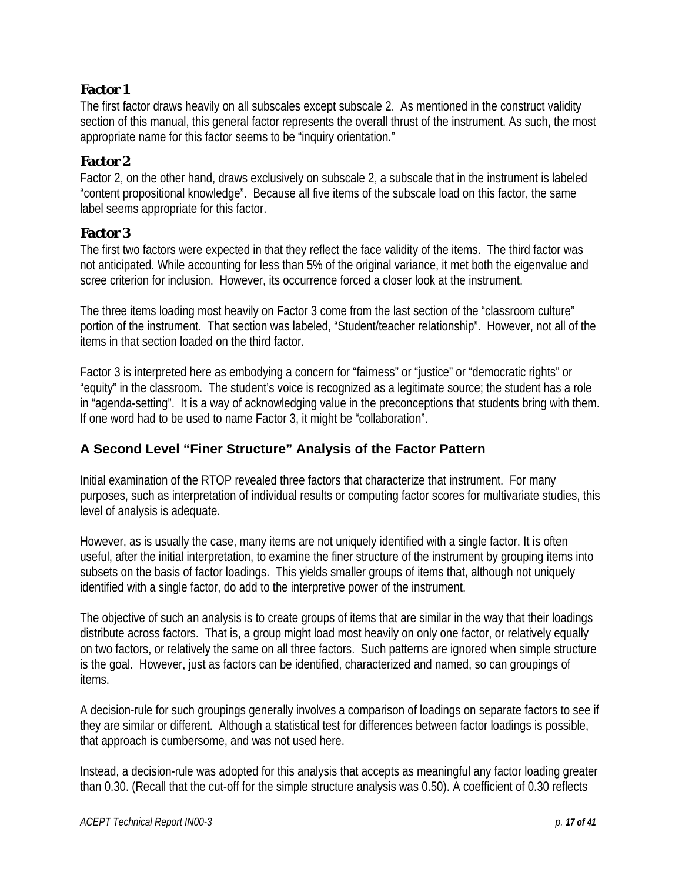# *Factor 1*

The first factor draws heavily on all subscales except subscale 2. As mentioned in the construct validity section of this manual, this general factor represents the overall thrust of the instrument. As such, the most appropriate name for this factor seems to be "inquiry orientation."

## *Factor 2*

Factor 2, on the other hand, draws exclusively on subscale 2, a subscale that in the instrument is labeled "content propositional knowledge". Because all five items of the subscale load on this factor, the same label seems appropriate for this factor.

## *Factor 3*

The first two factors were expected in that they reflect the face validity of the items. The third factor was not anticipated. While accounting for less than 5% of the original variance, it met both the eigenvalue and scree criterion for inclusion. However, its occurrence forced a closer look at the instrument.

The three items loading most heavily on Factor 3 come from the last section of the "classroom culture" portion of the instrument. That section was labeled, "Student/teacher relationship". However, not all of the items in that section loaded on the third factor.

Factor 3 is interpreted here as embodying a concern for "fairness" or "justice" or "democratic rights" or "equity" in the classroom. The student's voice is recognized as a legitimate source; the student has a role in "agenda-setting". It is a way of acknowledging value in the preconceptions that students bring with them. If one word had to be used to name Factor 3, it might be "collaboration".

# **A Second Level "Finer Structure" Analysis of the Factor Pattern**

Initial examination of the RTOP revealed three factors that characterize that instrument. For many purposes, such as interpretation of individual results or computing factor scores for multivariate studies, this level of analysis is adequate.

However, as is usually the case, many items are not uniquely identified with a single factor. It is often useful, after the initial interpretation, to examine the finer structure of the instrument by grouping items into subsets on the basis of factor loadings. This yields smaller groups of items that, although not uniquely identified with a single factor, do add to the interpretive power of the instrument.

The objective of such an analysis is to create groups of items that are similar in the way that their loadings distribute across factors. That is, a group might load most heavily on only one factor, or relatively equally on two factors, or relatively the same on all three factors. Such patterns are ignored when simple structure is the goal. However, just as factors can be identified, characterized and named, so can groupings of items.

A decision-rule for such groupings generally involves a comparison of loadings on separate factors to see if they are similar or different. Although a statistical test for differences between factor loadings is possible, that approach is cumbersome, and was not used here.

Instead, a decision-rule was adopted for this analysis that accepts as meaningful any factor loading greater than 0.30. (Recall that the cut-off for the simple structure analysis was 0.50). A coefficient of 0.30 reflects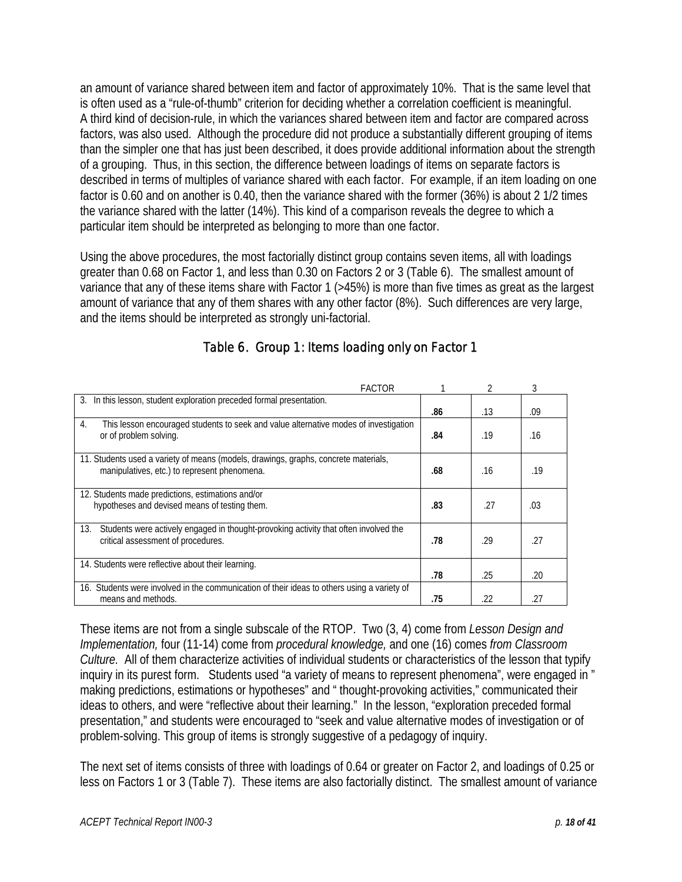an amount of variance shared between item and factor of approximately 10%. That is the same level that is often used as a "rule-of-thumb" criterion for deciding whether a correlation coefficient is meaningful. A third kind of decision-rule, in which the variances shared between item and factor are compared across factors, was also used. Although the procedure did not produce a substantially different grouping of items than the simpler one that has just been described, it does provide additional information about the strength of a grouping. Thus, in this section, the difference between loadings of items on separate factors is described in terms of multiples of variance shared with each factor. For example, if an item loading on one factor is 0.60 and on another is 0.40, then the variance shared with the former (36%) is about 2 1/2 times the variance shared with the latter (14%). This kind of a comparison reveals the degree to which a particular item should be interpreted as belonging to more than one factor.

Using the above procedures, the most factorially distinct group contains seven items, all with loadings greater than 0.68 on Factor 1, and less than 0.30 on Factors 2 or 3 (Table 6). The smallest amount of variance that any of these items share with Factor 1 (>45%) is more than five times as great as the largest amount of variance that any of them shares with any other factor (8%). Such differences are very large, and the items should be interpreted as strongly uni-factorial.

| <b>FACTOR</b>                                                                                                                       |     |     |     |
|-------------------------------------------------------------------------------------------------------------------------------------|-----|-----|-----|
| 3. In this lesson, student exploration preceded formal presentation.                                                                | .86 | .13 | .09 |
| This lesson encouraged students to seek and value alternative modes of investigation<br>4.<br>or of problem solving.                | .84 | .19 | .16 |
| 11. Students used a variety of means (models, drawings, graphs, concrete materials,<br>manipulatives, etc.) to represent phenomena. | .68 | .16 | .19 |
| 12. Students made predictions, estimations and/or<br>hypotheses and devised means of testing them.                                  | .83 | .27 | .03 |
| Students were actively engaged in thought-provoking activity that often involved the<br>13.<br>critical assessment of procedures.   | .78 | .29 | .27 |
| 14. Students were reflective about their learning.                                                                                  | .78 | .25 | .20 |
| 16. Students were involved in the communication of their ideas to others using a variety of<br>means and methods.                   | .75 | .22 | .27 |

# Table 6. Group 1: Items loading only on Factor 1

These items are not from a single subscale of the RTOP. Two (3, 4) come from *Lesson Design and Implementation,* four (11-14) come from *procedural knowledge,* and one (16) comes *from Classroom Culture.* All of them characterize activities of individual students or characteristics of the lesson that typify inquiry in its purest form. Students used "a variety of means to represent phenomena", were engaged in " making predictions, estimations or hypotheses" and " thought-provoking activities," communicated their ideas to others, and were "reflective about their learning." In the lesson, "exploration preceded formal presentation," and students were encouraged to "seek and value alternative modes of investigation or of problem-solving. This group of items is strongly suggestive of a pedagogy of inquiry.

The next set of items consists of three with loadings of 0.64 or greater on Factor 2, and loadings of 0.25 or less on Factors 1 or 3 (Table 7). These items are also factorially distinct. The smallest amount of variance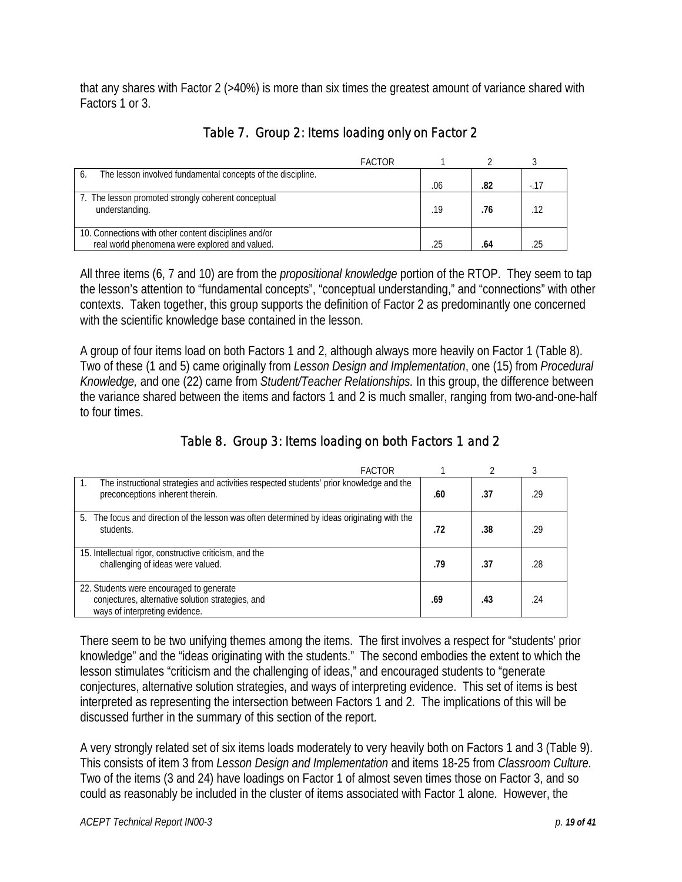that any shares with Factor 2 (>40%) is more than six times the greatest amount of variance shared with Factors 1 or 3.

|                                                                                                         | <b>FACTOR</b> |     |     |       |
|---------------------------------------------------------------------------------------------------------|---------------|-----|-----|-------|
| The lesson involved fundamental concepts of the discipline.                                             |               |     |     |       |
|                                                                                                         |               | .06 | .82 | $-17$ |
| 7. The lesson promoted strongly coherent conceptual<br>understanding.                                   |               | .19 | .76 | .12   |
| 10. Connections with other content disciplines and/or<br>real world phenomena were explored and valued. |               |     | .64 |       |

# Table 7. Group 2: Items loading only on Factor 2

All three items (6, 7 and 10) are from the *propositional knowledge* portion of the RTOP. They seem to tap the lesson's attention to "fundamental concepts", "conceptual understanding," and "connections" with other contexts. Taken together, this group supports the definition of Factor 2 as predominantly one concerned with the scientific knowledge base contained in the lesson.

A group of four items load on both Factors 1 and 2, although always more heavily on Factor 1 (Table 8). Two of these (1 and 5) came originally from *Lesson Design and Implementation*, one (15) from *Procedural Knowledge,* and one (22) came from *Student/Teacher Relationships.* In this group, the difference between the variance shared between the items and factors 1 and 2 is much smaller, ranging from two-and-one-half to four times.

| <b>FACTOR</b>                                                                                                                   |     |     |     |
|---------------------------------------------------------------------------------------------------------------------------------|-----|-----|-----|
| The instructional strategies and activities respected students' prior knowledge and the<br>preconceptions inherent therein.     | .60 | .37 | .29 |
| 5. The focus and direction of the lesson was often determined by ideas originating with the<br>students.                        | .72 | .38 | .29 |
| 15. Intellectual rigor, constructive criticism, and the<br>challenging of ideas were valued.                                    | .79 | .37 | .28 |
| 22. Students were encouraged to generate<br>conjectures, alternative solution strategies, and<br>ways of interpreting evidence. | .69 | .43 | .24 |

# Table 8. Group 3: Items loading on both Factors 1 and 2

There seem to be two unifying themes among the items. The first involves a respect for "students' prior knowledge" and the "ideas originating with the students." The second embodies the extent to which the lesson stimulates "criticism and the challenging of ideas," and encouraged students to "generate conjectures, alternative solution strategies, and ways of interpreting evidence. This set of items is best interpreted as representing the intersection between Factors 1 and 2. The implications of this will be discussed further in the summary of this section of the report.

A very strongly related set of six items loads moderately to very heavily both on Factors 1 and 3 (Table 9). This consists of item 3 from *Lesson Design and Implementation* and items 18-25 from *Classroom Culture.* Two of the items (3 and 24) have loadings on Factor 1 of almost seven times those on Factor 3, and so could as reasonably be included in the cluster of items associated with Factor 1 alone. However, the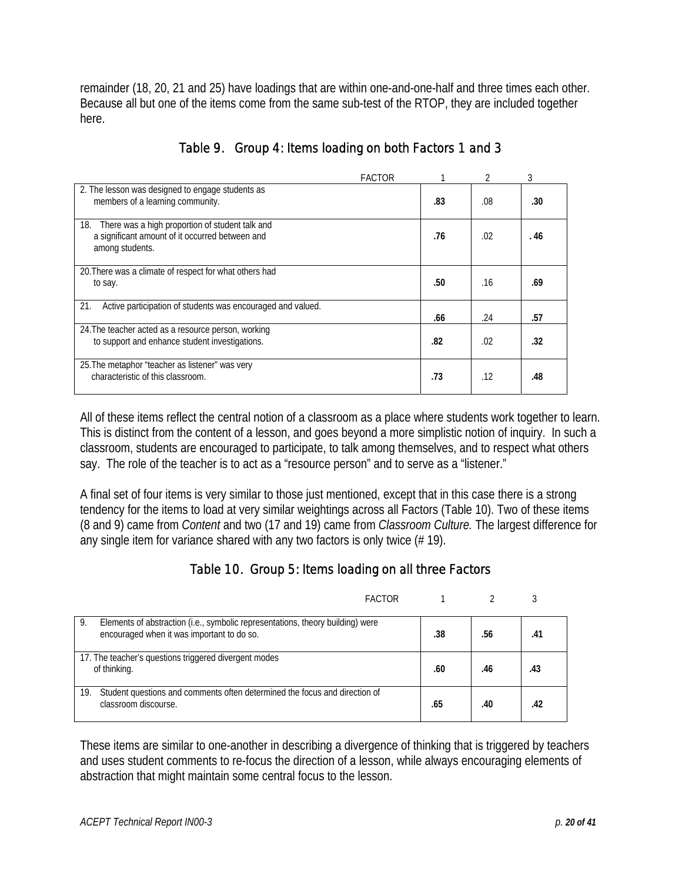remainder (18, 20, 21 and 25) have loadings that are within one-and-one-half and three times each other. Because all but one of the items come from the same sub-test of the RTOP, they are included together here.

|                                                                                                                           | <b>FACTOR</b> |     | $\mathfrak{p}$ | 3    |
|---------------------------------------------------------------------------------------------------------------------------|---------------|-----|----------------|------|
| 2. The lesson was designed to engage students as<br>members of a learning community.                                      |               | .83 | .08            | .30  |
| 18. There was a high proportion of student talk and<br>a significant amount of it occurred between and<br>among students. |               | .76 | .02            | . 46 |
| 20. There was a climate of respect for what others had<br>to say.                                                         |               | .50 | .16            | .69  |
| 21.<br>Active participation of students was encouraged and valued.                                                        |               | .66 | .24            | .57  |
| 24. The teacher acted as a resource person, working<br>to support and enhance student investigations.                     |               | .82 | .02            | .32  |
| 25. The metaphor "teacher as listener" was very<br>characteristic of this classroom.                                      |               | .73 | .12            | .48  |

## Table 9. Group 4: Items loading on both Factors 1 and 3

All of these items reflect the central notion of a classroom as a place where students work together to learn. This is distinct from the content of a lesson, and goes beyond a more simplistic notion of inquiry. In such a classroom, students are encouraged to participate, to talk among themselves, and to respect what others say. The role of the teacher is to act as a "resource person" and to serve as a "listener."

A final set of four items is very similar to those just mentioned, except that in this case there is a strong tendency for the items to load at very similar weightings across all Factors (Table 10). Two of these items (8 and 9) came from *Content* and two (17 and 19) came from *Classroom Culture.* The largest difference for any single item for variance shared with any two factors is only twice (# 19).

## Table 10. Group 5: Items loading on all three Factors

| <b>FACTOR</b>                                                                                                                      |     |     |     |
|------------------------------------------------------------------------------------------------------------------------------------|-----|-----|-----|
| Elements of abstraction (i.e., symbolic representations, theory building) were<br>9.<br>encouraged when it was important to do so. | .38 | .56 | .41 |
| 17. The teacher's questions triggered divergent modes<br>of thinking.                                                              | .60 | .46 | .43 |
| Student questions and comments often determined the focus and direction of<br>19.<br>classroom discourse.                          | .65 | .40 | .42 |

These items are similar to one-another in describing a divergence of thinking that is triggered by teachers and uses student comments to re-focus the direction of a lesson, while always encouraging elements of abstraction that might maintain some central focus to the lesson.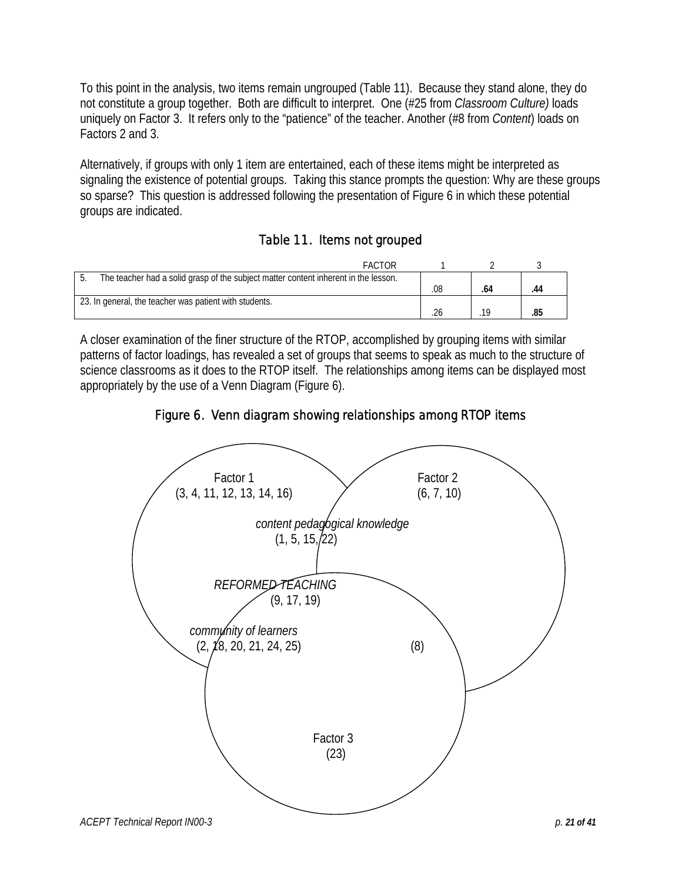To this point in the analysis, two items remain ungrouped (Table 11). Because they stand alone, they do not constitute a group together. Both are difficult to interpret. One (#25 from *Classroom Culture)* loads uniquely on Factor 3. It refers only to the "patience" of the teacher. Another (#8 from *Content*) loads on Factors 2 and 3.

Alternatively, if groups with only 1 item are entertained, each of these items might be interpreted as signaling the existence of potential groups. Taking this stance prompts the question: Why are these groups so sparse? This question is addressed following the presentation of Figure 6 in which these potential groups are indicated.

# Table 11. Items not grouped

| <b>FACTOR</b>                                                                       |     |     |     |
|-------------------------------------------------------------------------------------|-----|-----|-----|
| The teacher had a solid grasp of the subject matter content inherent in the lesson. |     |     |     |
|                                                                                     | .08 | .64 | .44 |
| 23. In general, the teacher was patient with students.                              |     |     |     |
|                                                                                     |     |     | .85 |

A closer examination of the finer structure of the RTOP, accomplished by grouping items with similar patterns of factor loadings, has revealed a set of groups that seems to speak as much to the structure of science classrooms as it does to the RTOP itself. The relationships among items can be displayed most appropriately by the use of a Venn Diagram (Figure 6).



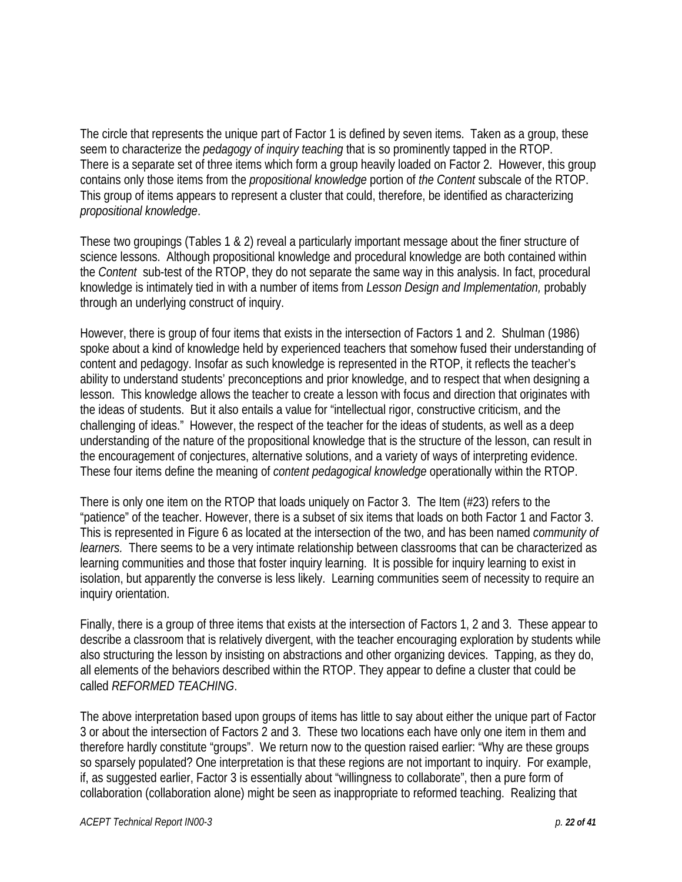The circle that represents the unique part of Factor 1 is defined by seven items. Taken as a group, these seem to characterize the *pedagogy of inquiry teaching* that is so prominently tapped in the RTOP. There is a separate set of three items which form a group heavily loaded on Factor 2. However, this group contains only those items from the *propositional knowledge* portion of *the Content* subscale of the RTOP. This group of items appears to represent a cluster that could, therefore, be identified as characterizing *propositional knowledge*.

These two groupings (Tables 1 & 2) reveal a particularly important message about the finer structure of science lessons. Although propositional knowledge and procedural knowledge are both contained within the *Content* sub-test of the RTOP, they do not separate the same way in this analysis. In fact, procedural knowledge is intimately tied in with a number of items from *Lesson Design and Implementation,* probably through an underlying construct of inquiry.

However, there is group of four items that exists in the intersection of Factors 1 and 2. Shulman (1986) spoke about a kind of knowledge held by experienced teachers that somehow fused their understanding of content and pedagogy. Insofar as such knowledge is represented in the RTOP, it reflects the teacher's ability to understand students' preconceptions and prior knowledge, and to respect that when designing a lesson. This knowledge allows the teacher to create a lesson with focus and direction that originates with the ideas of students. But it also entails a value for "intellectual rigor, constructive criticism, and the challenging of ideas." However, the respect of the teacher for the ideas of students, as well as a deep understanding of the nature of the propositional knowledge that is the structure of the lesson, can result in the encouragement of conjectures, alternative solutions, and a variety of ways of interpreting evidence. These four items define the meaning of *content pedagogical knowledge* operationally within the RTOP.

There is only one item on the RTOP that loads uniquely on Factor 3. The Item (#23) refers to the "patience" of the teacher. However, there is a subset of six items that loads on both Factor 1 and Factor 3. This is represented in Figure 6 as located at the intersection of the two, and has been named *community of learners.* There seems to be a very intimate relationship between classrooms that can be characterized as learning communities and those that foster inquiry learning. It is possible for inquiry learning to exist in isolation, but apparently the converse is less likely. Learning communities seem of necessity to require an inquiry orientation.

Finally, there is a group of three items that exists at the intersection of Factors 1, 2 and 3. These appear to describe a classroom that is relatively divergent, with the teacher encouraging exploration by students while also structuring the lesson by insisting on abstractions and other organizing devices. Tapping, as they do, all elements of the behaviors described within the RTOP. They appear to define a cluster that could be called *REFORMED TEACHING*.

The above interpretation based upon groups of items has little to say about either the unique part of Factor 3 or about the intersection of Factors 2 and 3. These two locations each have only one item in them and therefore hardly constitute "groups". We return now to the question raised earlier: "Why are these groups so sparsely populated? One interpretation is that these regions are not important to inquiry. For example, if, as suggested earlier, Factor 3 is essentially about "willingness to collaborate", then a pure form of collaboration (collaboration alone) might be seen as inappropriate to reformed teaching. Realizing that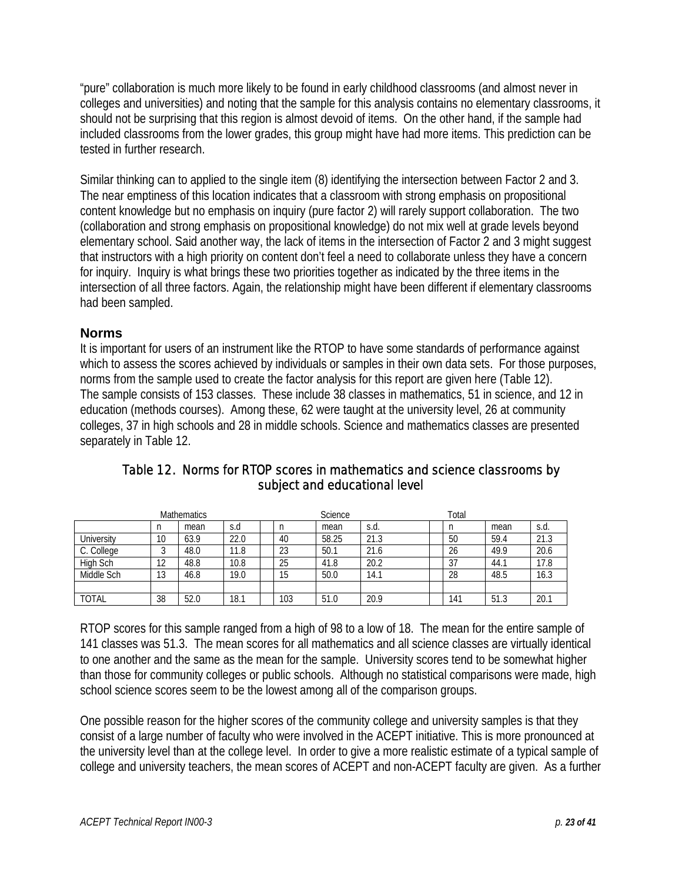"pure" collaboration is much more likely to be found in early childhood classrooms (and almost never in colleges and universities) and noting that the sample for this analysis contains no elementary classrooms, it should not be surprising that this region is almost devoid of items. On the other hand, if the sample had included classrooms from the lower grades, this group might have had more items. This prediction can be tested in further research.

Similar thinking can to applied to the single item (8) identifying the intersection between Factor 2 and 3. The near emptiness of this location indicates that a classroom with strong emphasis on propositional content knowledge but no emphasis on inquiry (pure factor 2) will rarely support collaboration. The two (collaboration and strong emphasis on propositional knowledge) do not mix well at grade levels beyond elementary school. Said another way, the lack of items in the intersection of Factor 2 and 3 might suggest that instructors with a high priority on content don't feel a need to collaborate unless they have a concern for inquiry. Inquiry is what brings these two priorities together as indicated by the three items in the intersection of all three factors. Again, the relationship might have been different if elementary classrooms had been sampled.

## **Norms**

It is important for users of an instrument like the RTOP to have some standards of performance against which to assess the scores achieved by individuals or samples in their own data sets. For those purposes, norms from the sample used to create the factor analysis for this report are given here (Table 12). The sample consists of 153 classes. These include 38 classes in mathematics, 51 in science, and 12 in education (methods courses). Among these, 62 were taught at the university level, 26 at community colleges, 37 in high schools and 28 in middle schools. Science and mathematics classes are presented separately in Table 12.

|            |    | <b>Mathematics</b> |      |     | Science |      | Total |      |      |
|------------|----|--------------------|------|-----|---------|------|-------|------|------|
|            |    | mean               | s.d  |     | mean    | s.d. |       | mean | s.d. |
| University | 10 | 63.9               | 22.0 | 40  | 58.25   | 21.3 | 50    | 59.4 | 21.3 |
| C. College |    | 48.0               | 11.8 | 23  | 50.1    | 21.6 | 26    | 49.9 | 20.6 |
| High Sch   | 12 | 48.8               | 10.8 | 25  | 41.8    | 20.2 | 37    | 44.1 | 17.8 |
| Middle Sch | 13 | 46.8               | 19.0 | 15  | 50.0    | 14.1 | 28    | 48.5 | 16.3 |
|            |    |                    |      |     |         |      |       |      |      |
| TOTAL      | 38 | 52.0               | 18.1 | 103 | 51.0    | 20.9 | 141   | 51.3 | 20.1 |

# Table 12. Norms for RTOP scores in mathematics and science classrooms by subject and educational level

RTOP scores for this sample ranged from a high of 98 to a low of 18. The mean for the entire sample of 141 classes was 51.3. The mean scores for all mathematics and all science classes are virtually identical to one another and the same as the mean for the sample. University scores tend to be somewhat higher than those for community colleges or public schools. Although no statistical comparisons were made, high school science scores seem to be the lowest among all of the comparison groups.

One possible reason for the higher scores of the community college and university samples is that they consist of a large number of faculty who were involved in the ACEPT initiative. This is more pronounced at the university level than at the college level. In order to give a more realistic estimate of a typical sample of college and university teachers, the mean scores of ACEPT and non-ACEPT faculty are given. As a further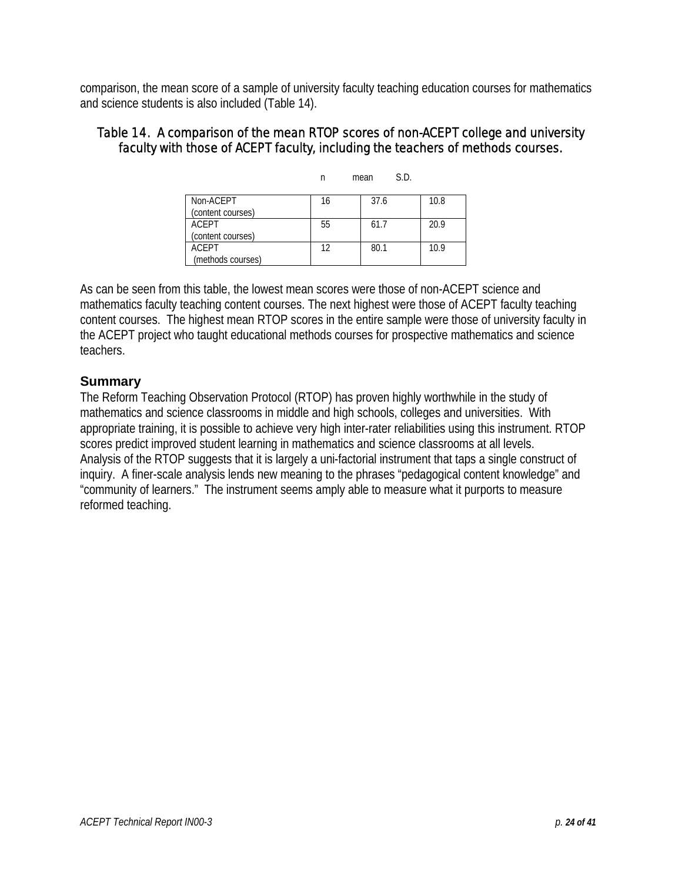comparison, the mean score of a sample of university faculty teaching education courses for mathematics and science students is also included (Table 14).

## Table 14. A comparison of the mean RTOP scores of non-ACEPT college and university faculty with those of ACEPT faculty, including the teachers of methods courses.

|                                   | n  | mean | S.D. |      |
|-----------------------------------|----|------|------|------|
| Non-ACEPT<br>(content courses)    | 16 | 37.6 |      | 10.8 |
| <b>ACEPT</b><br>(content courses) | 55 | 61.7 |      | 20.9 |
| <b>ACEPT</b><br>(methods courses) | 12 | 80.1 |      | 10.9 |

As can be seen from this table, the lowest mean scores were those of non-ACEPT science and mathematics faculty teaching content courses. The next highest were those of ACEPT faculty teaching content courses. The highest mean RTOP scores in the entire sample were those of university faculty in the ACEPT project who taught educational methods courses for prospective mathematics and science teachers.

## **Summary**

The Reform Teaching Observation Protocol (RTOP) has proven highly worthwhile in the study of mathematics and science classrooms in middle and high schools, colleges and universities. With appropriate training, it is possible to achieve very high inter-rater reliabilities using this instrument. RTOP scores predict improved student learning in mathematics and science classrooms at all levels. Analysis of the RTOP suggests that it is largely a uni-factorial instrument that taps a single construct of inquiry. A finer-scale analysis lends new meaning to the phrases "pedagogical content knowledge" and "community of learners." The instrument seems amply able to measure what it purports to measure reformed teaching.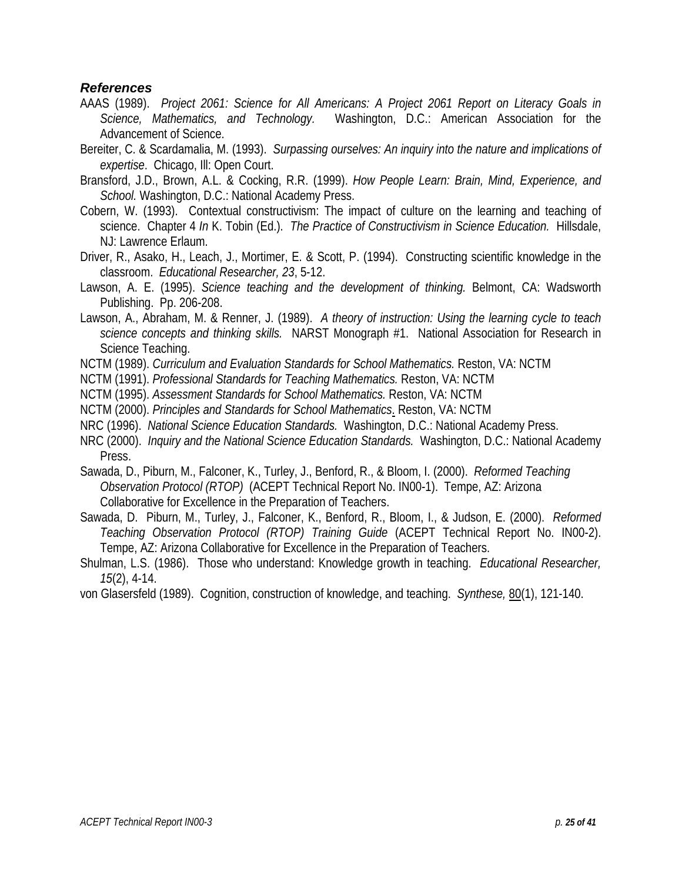### *References*

- AAAS (1989). *Project 2061: Science for All Americans: A Project 2061 Report on Literacy Goals in Science, Mathematics, and Technology.* Washington, D.C.: American Association for the Advancement of Science.
- Bereiter, C. & Scardamalia, M. (1993). *Surpassing ourselves: An inquiry into the nature and implications of expertise*. Chicago, Ill: Open Court.
- Bransford, J.D., Brown, A.L. & Cocking, R.R. (1999). *How People Learn: Brain, Mind, Experience, and School.* Washington, D.C.: National Academy Press.
- Cobern, W. (1993). Contextual constructivism: The impact of culture on the learning and teaching of science. Chapter 4 *In* K. Tobin (Ed.). *The Practice of Constructivism in Science Education.* Hillsdale, NJ: Lawrence Erlaum.
- Driver, R., Asako, H., Leach, J., Mortimer, E. & Scott, P. (1994). Constructing scientific knowledge in the classroom. *Educational Researcher, 23*, 5-12.
- Lawson, A. E. (1995). *Science teaching and the development of thinking.* Belmont, CA: Wadsworth Publishing. Pp. 206-208.
- Lawson, A., Abraham, M. & Renner, J. (1989). *A theory of instruction: Using the learning cycle to teach science concepts and thinking skills.* NARST Monograph #1. National Association for Research in Science Teaching.
- NCTM (1989). *Curriculum and Evaluation Standards for School Mathematics.* Reston, VA: NCTM
- NCTM (1991). *Professional Standards for Teaching Mathematics.* Reston, VA: NCTM
- NCTM (1995). *Assessment Standards for School Mathematics.* Reston, VA: NCTM
- NCTM (2000). *Principles and Standards for School Mathematics*. Reston, VA: NCTM
- NRC (1996). *National Science Education Standards.* Washington, D.C.: National Academy Press.
- NRC (2000). *Inquiry and the National Science Education Standards.* Washington, D.C.: National Academy Press.
- Sawada, D., Piburn, M., Falconer, K., Turley, J., Benford, R., & Bloom, I. (2000). *Reformed Teaching Observation Protocol (RTOP)* (ACEPT Technical Report No. IN00-1). Tempe, AZ: Arizona Collaborative for Excellence in the Preparation of Teachers.
- Sawada, D. Piburn, M., Turley, J., Falconer, K., Benford, R., Bloom, I., & Judson, E. (2000). *Reformed Teaching Observation Protocol (RTOP) Training Guide* (ACEPT Technical Report No. IN00-2). Tempe, AZ: Arizona Collaborative for Excellence in the Preparation of Teachers.
- Shulman, L.S. (1986). Those who understand: Knowledge growth in teaching. *Educational Researcher, 15*(2), 4-14.
- von Glasersfeld (1989). Cognition, construction of knowledge, and teaching. *Synthese,* 80(1), 121-140.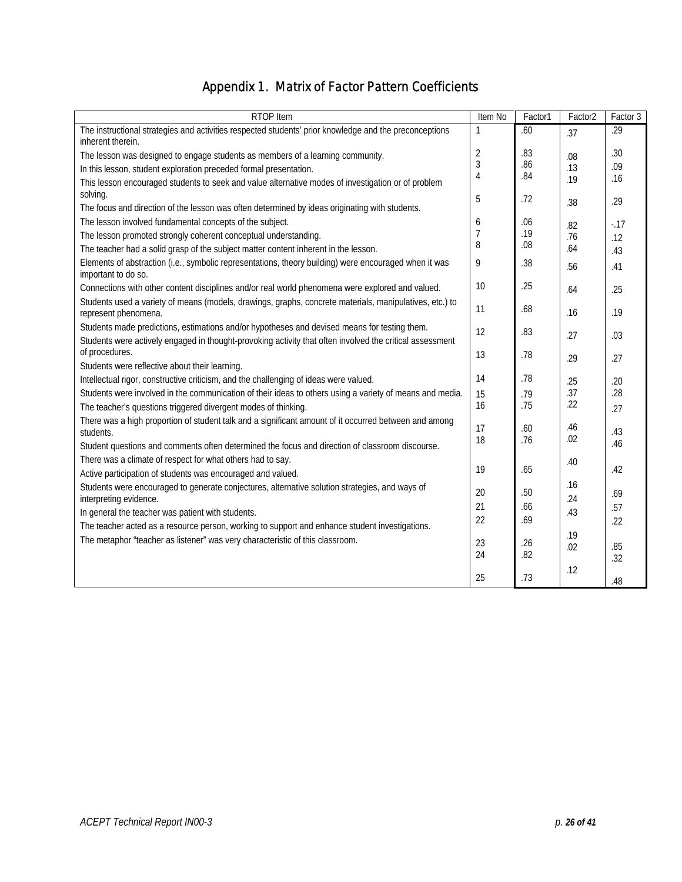# Appendix 1. Matrix of Factor Pattern Coefficients

| <b>RTOP</b> Item                                                                                                             | Item No        | Factor1    | Factor <sub>2</sub> | Factor 3 |
|------------------------------------------------------------------------------------------------------------------------------|----------------|------------|---------------------|----------|
| The instructional strategies and activities respected students' prior knowledge and the preconceptions<br>inherent therein.  | 1              | .60        | .37                 | .29      |
| The lesson was designed to engage students as members of a learning community.                                               | 2              | .83        | .08                 | .30      |
| In this lesson, student exploration preceded formal presentation.                                                            | $\mathfrak{Z}$ | .86        | .13                 | .09      |
| This lesson encouraged students to seek and value alternative modes of investigation or of problem                           | $\overline{4}$ | .84        | .19                 | .16      |
| solving.                                                                                                                     | 5              | .72        |                     | .29      |
| The focus and direction of the lesson was often determined by ideas originating with students.                               |                |            | .38                 |          |
| The lesson involved fundamental concepts of the subject.                                                                     | 6              | .06        | .82                 | $-17$    |
| The lesson promoted strongly coherent conceptual understanding.                                                              | $\overline{7}$ | .19        | .76                 | .12      |
| The teacher had a solid grasp of the subject matter content inherent in the lesson.                                          | 8              | .08        | .64                 | .43      |
| Elements of abstraction (i.e., symbolic representations, theory building) were encouraged when it was<br>important to do so. | 9              | .38        | .56                 | .41      |
| Connections with other content disciplines and/or real world phenomena were explored and valued.                             | 10             | .25        | .64                 | .25      |
| Students used a variety of means (models, drawings, graphs, concrete materials, manipulatives, etc.) to                      |                |            |                     |          |
| represent phenomena.                                                                                                         | 11             | .68        | .16                 | .19      |
| Students made predictions, estimations and/or hypotheses and devised means for testing them.                                 | 12             | .83        |                     |          |
| Students were actively engaged in thought-provoking activity that often involved the critical assessment                     |                |            | .27                 | .03      |
| of procedures.                                                                                                               | 13             | .78        | .29                 | .27      |
| Students were reflective about their learning.                                                                               |                |            |                     |          |
| Intellectual rigor, constructive criticism, and the challenging of ideas were valued.                                        | 14             | .78        | .25                 | .20      |
| Students were involved in the communication of their ideas to others using a variety of means and media.                     | 15             | .79        | .37                 | .28      |
| The teacher's questions triggered divergent modes of thinking.                                                               | 16             | .75        | .22                 | .27      |
| There was a high proportion of student talk and a significant amount of it occurred between and among                        |                |            | .46                 |          |
| students.                                                                                                                    | 17<br>18       | .60<br>.76 | .02                 | .43      |
| Student questions and comments often determined the focus and direction of classroom discourse.                              |                |            |                     | .46      |
| There was a climate of respect for what others had to say.                                                                   |                |            | .40                 |          |
| Active participation of students was encouraged and valued.                                                                  | 19             | .65        |                     | .42      |
| Students were encouraged to generate conjectures, alternative solution strategies, and ways of                               | 20             | .50        | .16                 | .69      |
| interpreting evidence.                                                                                                       | 21             | .66        | .24                 | .57      |
| In general the teacher was patient with students.                                                                            | 22             | .69        | .43                 | .22      |
| The teacher acted as a resource person, working to support and enhance student investigations.                               |                |            | .19                 |          |
| The metaphor "teacher as listener" was very characteristic of this classroom.                                                | 23             | .26        | .02                 | .85      |
|                                                                                                                              | 24             | .82        |                     | .32      |
|                                                                                                                              |                |            | .12                 |          |
|                                                                                                                              | 25             | .73        |                     | .48      |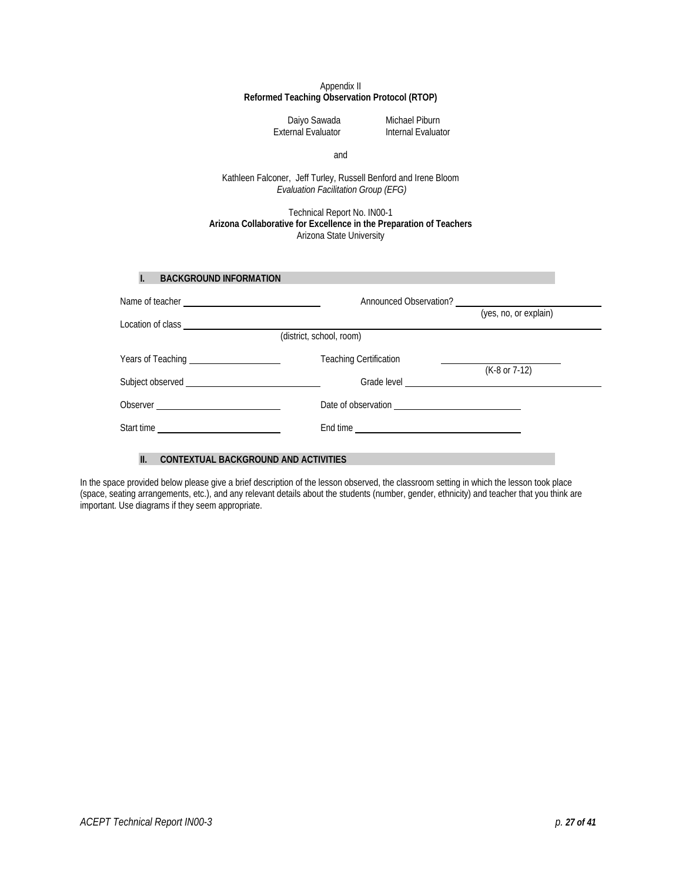#### Appendix II **Reformed Teaching Observation Protocol (RTOP)**

Daiyo Sawada External Evaluator

Michael Piburn Internal Evaluator

and

Kathleen Falconer, Jeff Turley, Russell Benford and Irene Bloom  *Evaluation Facilitation Group (EFG)*

Technical Report No. IN00-1 **Arizona Collaborative for Excellence in the Preparation of Teachers**  Arizona State University

| <b>BACKGROUND INFORMATION</b>               |                               |                       |  |  |  |  |  |  |
|---------------------------------------------|-------------------------------|-----------------------|--|--|--|--|--|--|
|                                             |                               |                       |  |  |  |  |  |  |
|                                             |                               | (yes, no, or explain) |  |  |  |  |  |  |
|                                             | (district, school, room)      |                       |  |  |  |  |  |  |
|                                             | <b>Teaching Certification</b> |                       |  |  |  |  |  |  |
|                                             |                               | (K-8 or 7-12)         |  |  |  |  |  |  |
|                                             |                               |                       |  |  |  |  |  |  |
| Start time                                  |                               |                       |  |  |  |  |  |  |
| <b>CONTEXTUAL BACKGROUND AND ACTIVITIES</b> |                               |                       |  |  |  |  |  |  |

In the space provided below please give a brief description of the lesson observed, the classroom setting in which the lesson took place (space, seating arrangements, etc.), and any relevant details about the students (number, gender, ethnicity) and teacher that you think are important. Use diagrams if they seem appropriate.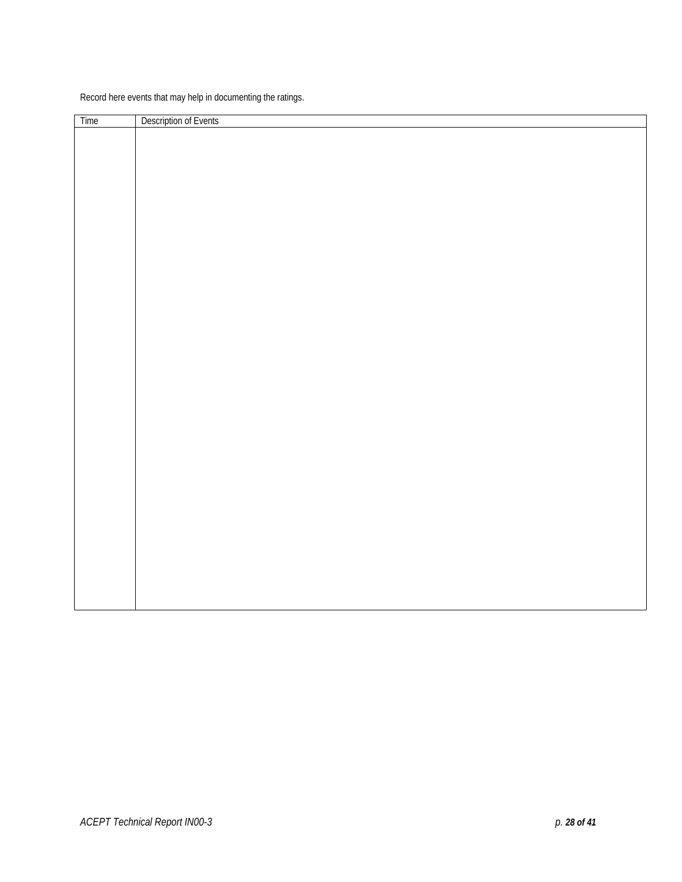Record here events that may help in documenting the ratings.

| Time | Description of Events |
|------|-----------------------|
|      |                       |
|      |                       |
|      |                       |
|      |                       |
|      |                       |
|      |                       |
|      |                       |
|      |                       |
|      |                       |
|      |                       |
|      |                       |
|      |                       |
|      |                       |
|      |                       |
|      |                       |
|      |                       |
|      |                       |
|      |                       |
|      |                       |
|      |                       |
|      |                       |
|      |                       |
|      |                       |
|      |                       |
|      |                       |
|      |                       |
|      |                       |
|      |                       |
|      |                       |
|      |                       |
|      |                       |
|      |                       |
|      |                       |
|      |                       |
|      |                       |
|      |                       |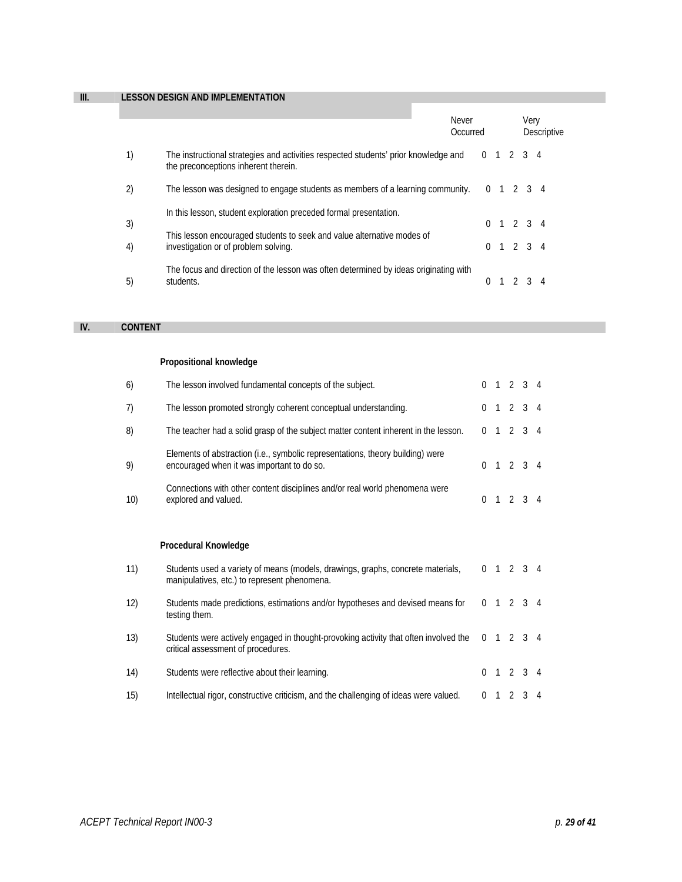#### **III.** LESSON DESIGN AND IMPLEMENTATION

|    |                                                                                                                             | Never<br>Occurred |  |  |                     | Very<br>Descriptive |  |  |  |  |
|----|-----------------------------------------------------------------------------------------------------------------------------|-------------------|--|--|---------------------|---------------------|--|--|--|--|
|    | The instructional strategies and activities respected students' prior knowledge and<br>the preconceptions inherent therein. |                   |  |  | $0 \t1 \t2 \t3 \t4$ |                     |  |  |  |  |
| 2) | The lesson was designed to engage students as members of a learning community.                                              |                   |  |  | $0 \t1 \t2 \t3 \t4$ |                     |  |  |  |  |
| 3) | In this lesson, student exploration preceded formal presentation.                                                           |                   |  |  | $0 \t1 \t2 \t3 \t4$ |                     |  |  |  |  |
| 4) | This lesson encouraged students to seek and value alternative modes of<br>investigation or of problem solving.              |                   |  |  | 0 1 2 3 4           |                     |  |  |  |  |
| 5) | The focus and direction of the lesson was often determined by ideas originating with<br>students.                           |                   |  |  |                     |                     |  |  |  |  |

#### **IV. CONTENT**

#### **Propositional knowledge**

| 6)  | The lesson involved fundamental concepts of the subject.                                                                        | $\Omega$     |                | $1 \t2 \t3 \t4$ |                  |  |
|-----|---------------------------------------------------------------------------------------------------------------------------------|--------------|----------------|-----------------|------------------|--|
| 7)  | The lesson promoted strongly coherent conceptual understanding.                                                                 | $\Omega$     | $\mathbf{1}$   |                 | $2 \t3 \t4$      |  |
| 8)  | The teacher had a solid grasp of the subject matter content inherent in the lesson.                                             | $\Omega$     | $\mathbf{1}$   | 2 3 4           |                  |  |
| 9)  | Elements of abstraction (i.e., symbolic representations, theory building) were<br>encouraged when it was important to do so.    | $\mathbf{0}$ | $\mathbf{1}$   | 2               | $3 \quad 4$      |  |
| 10) | Connections with other content disciplines and/or real world phenomena were<br>explored and valued.                             | $\mathbf{0}$ | $\mathbf{1}$   | 2               | $3 \quad 4$      |  |
|     | Procedural Knowledge                                                                                                            |              |                |                 |                  |  |
| 11) | Students used a variety of means (models, drawings, graphs, concrete materials,<br>manipulatives, etc.) to represent phenomena. | $\Omega$     | $\overline{1}$ | $\mathcal{P}$   | $\overline{3}$ 4 |  |
| 12) | Students made predictions, estimations and/or hypotheses and devised means for<br>testing them.                                 | $\Omega$     | $\overline{1}$ | 2               | 3 4              |  |
| 13) | Students were actively engaged in thought-provoking activity that often involved the<br>critical assessment of procedures.      | $\Omega$     | $\mathbf{1}$   | 2               | $3\quad 4$       |  |
| 14) | Students were reflective about their learning.                                                                                  | $\mathbf{0}$ | $\mathbf{1}$   | 2               | $3 \quad 4$      |  |
| 15) | Intellectual rigor, constructive criticism, and the challenging of ideas were valued.                                           | 0            |                | 2               | 3 <sub>4</sub>   |  |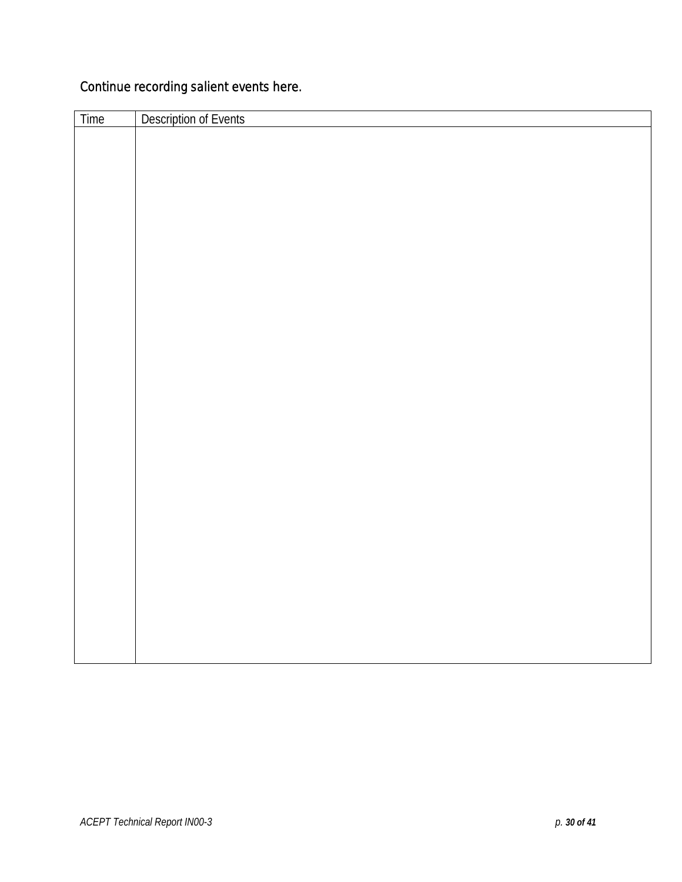# Continue recording salient events here.

| Time | Description of Events |
|------|-----------------------|
|      |                       |
|      |                       |
|      |                       |
|      |                       |
|      |                       |
|      |                       |
|      |                       |
|      |                       |
|      |                       |
|      |                       |
|      |                       |
|      |                       |
|      |                       |
|      |                       |
|      |                       |
|      |                       |
|      |                       |
|      |                       |
|      |                       |
|      |                       |
|      |                       |
|      |                       |
|      |                       |
|      |                       |
|      |                       |
|      |                       |
|      |                       |
|      |                       |
|      |                       |
|      |                       |
|      |                       |
|      |                       |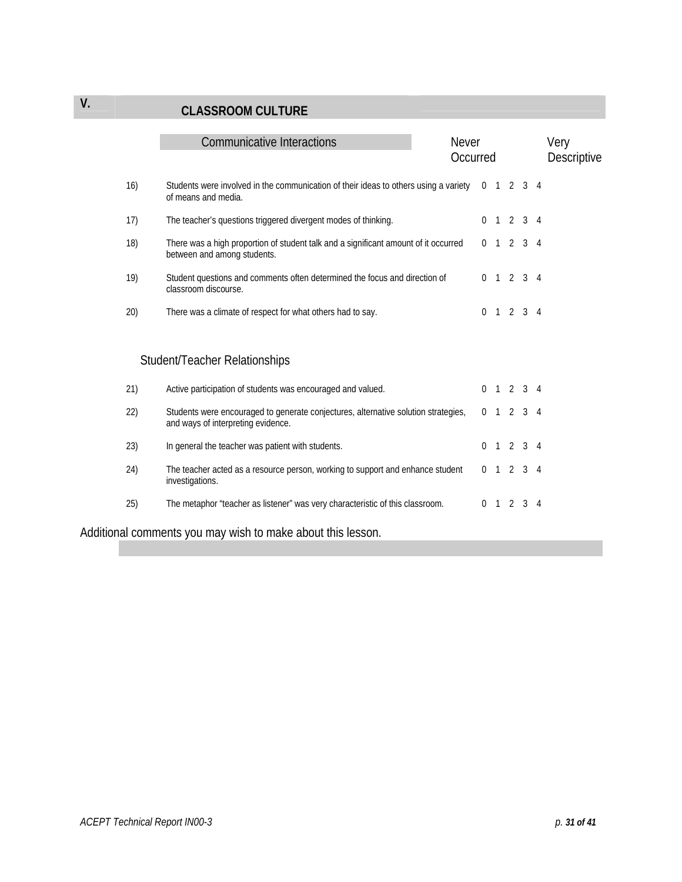# **V. CLASSROOM CULTURE**

|      | <b>Communicative Interactions</b>                                                                                        | Never<br>Occurred |                |                |                |                             |                | Very<br>Descriptive |
|------|--------------------------------------------------------------------------------------------------------------------------|-------------------|----------------|----------------|----------------|-----------------------------|----------------|---------------------|
| 16)  | Students were involved in the communication of their ideas to others using a variety 0 1<br>of means and media.          |                   |                |                | 2              | 3 <sub>4</sub>              |                |                     |
| 17)  | The teacher's questions triggered divergent modes of thinking.                                                           |                   | $\Omega$       |                |                | $1 \t2 \t3 \t4$             |                |                     |
| 18)  | There was a high proportion of student talk and a significant amount of it occurred<br>between and among students.       |                   | $\Omega$       | $\overline{1}$ | $\overline{2}$ | $3 \quad 4$                 |                |                     |
| 19)  | Student questions and comments often determined the focus and direction of<br>classroom discourse.                       |                   | $\Omega$       |                |                | $1 \t2 \t3 \t4$             |                |                     |
| (20) | There was a climate of respect for what others had to say.                                                               |                   | $\mathbf{0}$   |                |                | $1 \t2 \t3 \t4$             |                |                     |
|      | <b>Student/Teacher Relationships</b>                                                                                     |                   |                |                |                |                             |                |                     |
| 21)  | Active participation of students was encouraged and valued.                                                              |                   | $\mathbf{0}$   | $\overline{1}$ | 2              | 3 <sub>4</sub>              |                |                     |
| 22)  | Students were encouraged to generate conjectures, alternative solution strategies,<br>and ways of interpreting evidence. |                   | $\overline{0}$ |                |                | 1 2 3 4                     |                |                     |
| 23)  | In general the teacher was patient with students.                                                                        |                   | $\overline{0}$ |                |                | $1 \quad 2 \quad 3 \quad 4$ |                |                     |
| 24)  | The teacher acted as a resource person, working to support and enhance student<br>investigations.                        |                   | $\Omega$       |                | $1\quad2$      | $3 \quad 4$                 |                |                     |
| 25)  | The metaphor "teacher as listener" was very characteristic of this classroom.                                            |                   | $\mathbf{0}$   | $\overline{1}$ |                | 2 <sup>3</sup>              | $\overline{4}$ |                     |
|      | Additional comments you may wish to make about this lesson.                                                              |                   |                |                |                |                             |                |                     |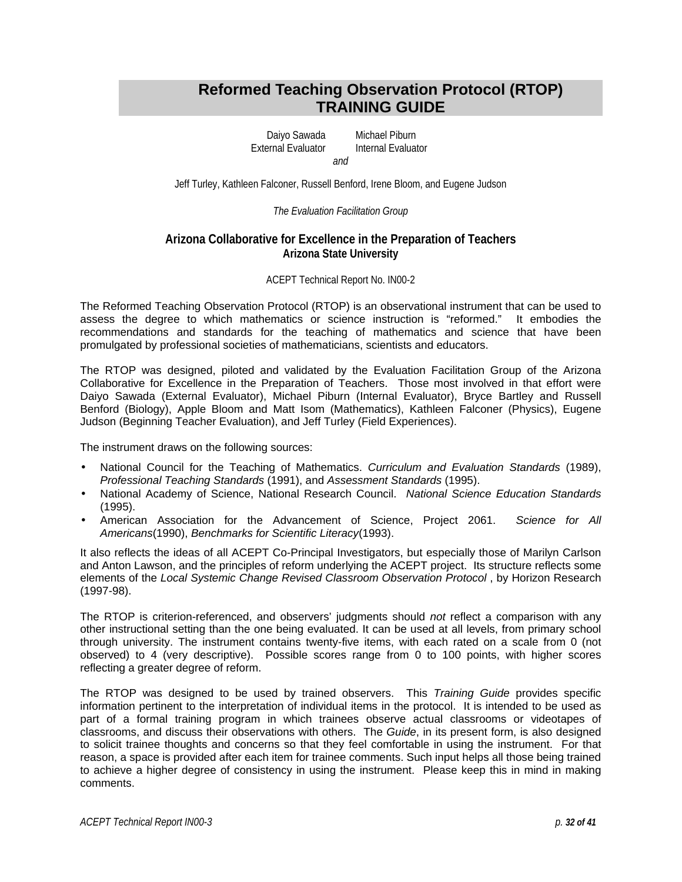# **Reformed Teaching Observation Protocol (RTOP) TRAINING GUIDE**

Daiyo Sawada External Evaluator Michael Piburn Internal Evaluator *and* 

Jeff Turley, Kathleen Falconer, Russell Benford, Irene Bloom, and Eugene Judson

#### *The Evaluation Facilitation Group*

#### **Arizona Collaborative for Excellence in the Preparation of Teachers Arizona State University**

ACEPT Technical Report No. IN00-2

The Reformed Teaching Observation Protocol (RTOP) is an observational instrument that can be used to assess the degree to which mathematics or science instruction is "reformed." It embodies the recommendations and standards for the teaching of mathematics and science that have been promulgated by professional societies of mathematicians, scientists and educators.

The RTOP was designed, piloted and validated by the Evaluation Facilitation Group of the Arizona Collaborative for Excellence in the Preparation of Teachers. Those most involved in that effort were Daiyo Sawada (External Evaluator), Michael Piburn (Internal Evaluator), Bryce Bartley and Russell Benford (Biology), Apple Bloom and Matt Isom (Mathematics), Kathleen Falconer (Physics), Eugene Judson (Beginning Teacher Evaluation), and Jeff Turley (Field Experiences).

The instrument draws on the following sources:

- National Council for the Teaching of Mathematics. *Curriculum and Evaluation Standards* (1989), *Professional Teaching Standards* (1991), and *Assessment Standards* (1995).
- National Academy of Science, National Research Council. *National Science Education Standards*  (1995).
- American Association for the Advancement of Science, Project 2061. *Science for All Americans*(1990), *Benchmarks for Scientific Literacy*(1993).

It also reflects the ideas of all ACEPT Co-Principal Investigators, but especially those of Marilyn Carlson and Anton Lawson, and the principles of reform underlying the ACEPT project. Its structure reflects some elements of the *Local Systemic Change Revised Classroom Observation Protocol* , by Horizon Research (1997-98).

The RTOP is criterion-referenced, and observers' judgments should *not* reflect a comparison with any other instructional setting than the one being evaluated. It can be used at all levels, from primary school through university. The instrument contains twenty-five items, with each rated on a scale from 0 (not observed) to 4 (very descriptive). Possible scores range from 0 to 100 points, with higher scores reflecting a greater degree of reform.

The RTOP was designed to be used by trained observers. This *Training Guide* provides specific information pertinent to the interpretation of individual items in the protocol. It is intended to be used as part of a formal training program in which trainees observe actual classrooms or videotapes of classrooms, and discuss their observations with others. The *Guide*, in its present form, is also designed to solicit trainee thoughts and concerns so that they feel comfortable in using the instrument. For that reason, a space is provided after each item for trainee comments. Such input helps all those being trained to achieve a higher degree of consistency in using the instrument. Please keep this in mind in making comments.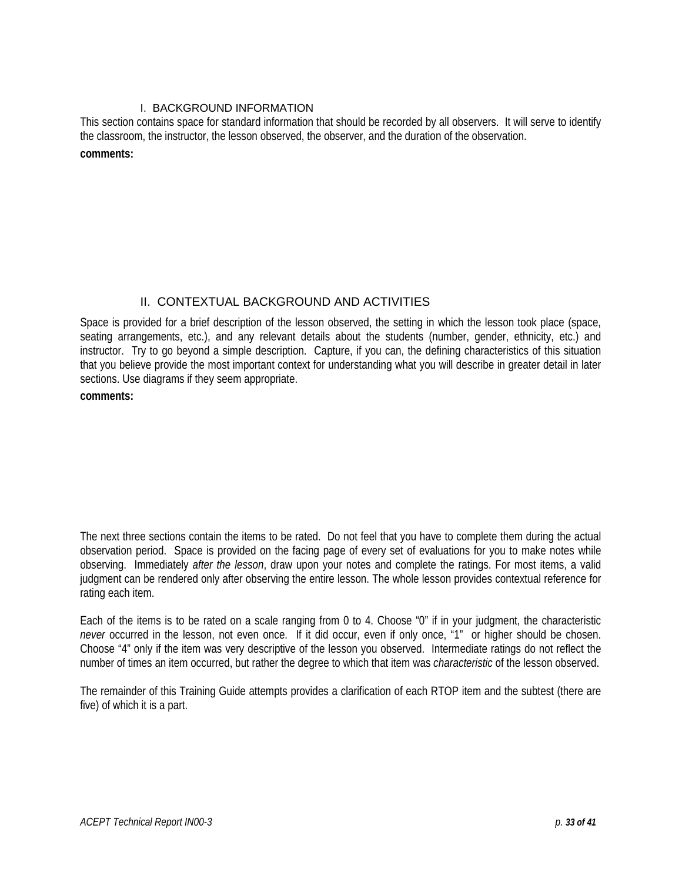#### I. BACKGROUND INFORMATION

This section contains space for standard information that should be recorded by all observers. It will serve to identify the classroom, the instructor, the lesson observed, the observer, and the duration of the observation. **comments:** 

#### II. CONTEXTUAL BACKGROUND AND ACTIVITIES

Space is provided for a brief description of the lesson observed, the setting in which the lesson took place (space, seating arrangements, etc.), and any relevant details about the students (number, gender, ethnicity, etc.) and instructor. Try to go beyond a simple description. Capture, if you can, the defining characteristics of this situation that you believe provide the most important context for understanding what you will describe in greater detail in later sections. Use diagrams if they seem appropriate.

#### **comments:**

The next three sections contain the items to be rated. Do not feel that you have to complete them during the actual observation period. Space is provided on the facing page of every set of evaluations for you to make notes while observing. Immediately *after the lesson*, draw upon your notes and complete the ratings. For most items, a valid judgment can be rendered only after observing the entire lesson. The whole lesson provides contextual reference for rating each item.

Each of the items is to be rated on a scale ranging from 0 to 4. Choose "0" if in your judgment, the characteristic *never* occurred in the lesson, not even once. If it did occur, even if only once, "1" or higher should be chosen. Choose "4" only if the item was very descriptive of the lesson you observed. Intermediate ratings do not reflect the number of times an item occurred, but rather the degree to which that item was *characteristic* of the lesson observed.

The remainder of this Training Guide attempts provides a clarification of each RTOP item and the subtest (there are five) of which it is a part.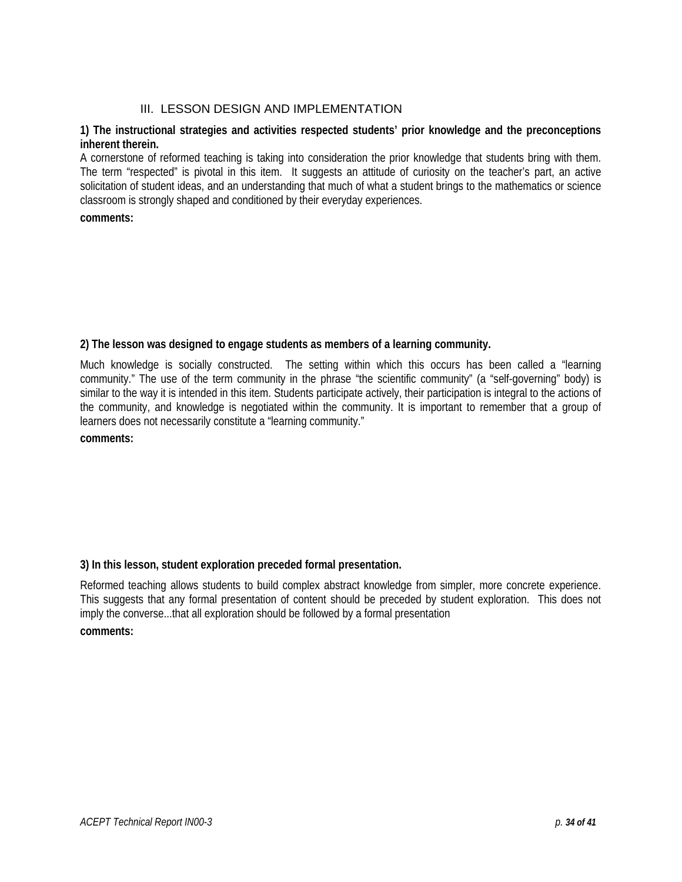#### III. LESSON DESIGN AND IMPLEMENTATION

#### **1) The instructional strategies and activities respected students' prior knowledge and the preconceptions inherent therein.**

A cornerstone of reformed teaching is taking into consideration the prior knowledge that students bring with them. The term "respected" is pivotal in this item. It suggests an attitude of curiosity on the teacher's part, an active solicitation of student ideas, and an understanding that much of what a student brings to the mathematics or science classroom is strongly shaped and conditioned by their everyday experiences.

#### **comments:**

#### **2) The lesson was designed to engage students as members of a learning community.**

Much knowledge is socially constructed. The setting within which this occurs has been called a "learning community." The use of the term community in the phrase "the scientific community" (a "self-governing" body) is similar to the way it is intended in this item. Students participate actively, their participation is integral to the actions of the community, and knowledge is negotiated within the community. It is important to remember that a group of learners does not necessarily constitute a "learning community."

#### **comments:**

#### **3) In this lesson, student exploration preceded formal presentation.**

Reformed teaching allows students to build complex abstract knowledge from simpler, more concrete experience. This suggests that any formal presentation of content should be preceded by student exploration. This does not imply the converse...that all exploration should be followed by a formal presentation **comments:**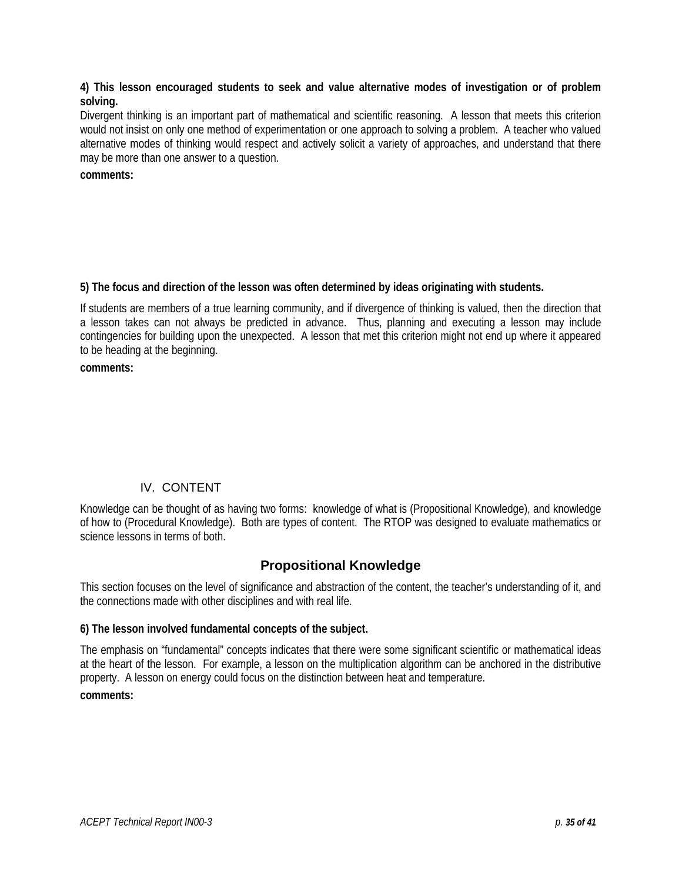**4) This lesson encouraged students to seek and value alternative modes of investigation or of problem solving.** 

Divergent thinking is an important part of mathematical and scientific reasoning. A lesson that meets this criterion would not insist on only one method of experimentation or one approach to solving a problem. A teacher who valued alternative modes of thinking would respect and actively solicit a variety of approaches, and understand that there may be more than one answer to a question.

**comments:** 

#### **5) The focus and direction of the lesson was often determined by ideas originating with students.**

If students are members of a true learning community, and if divergence of thinking is valued, then the direction that a lesson takes can not always be predicted in advance. Thus, planning and executing a lesson may include contingencies for building upon the unexpected. A lesson that met this criterion might not end up where it appeared to be heading at the beginning.

**comments:** 

#### IV. CONTENT

Knowledge can be thought of as having two forms: knowledge of what is (Propositional Knowledge), and knowledge of how to (Procedural Knowledge). Both are types of content. The RTOP was designed to evaluate mathematics or science lessons in terms of both.

# **Propositional Knowledge**

This section focuses on the level of significance and abstraction of the content, the teacher's understanding of it, and the connections made with other disciplines and with real life.

#### **6) The lesson involved fundamental concepts of the subject.**

The emphasis on "fundamental" concepts indicates that there were some significant scientific or mathematical ideas at the heart of the lesson. For example, a lesson on the multiplication algorithm can be anchored in the distributive property. A lesson on energy could focus on the distinction between heat and temperature. **comments:**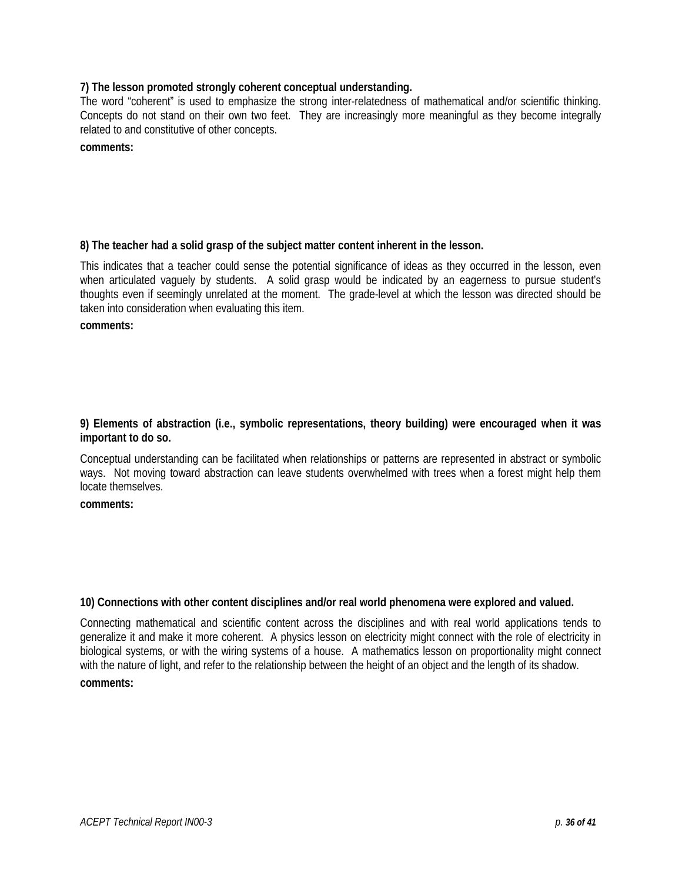#### **7) The lesson promoted strongly coherent conceptual understanding.**

The word "coherent" is used to emphasize the strong inter-relatedness of mathematical and/or scientific thinking. Concepts do not stand on their own two feet. They are increasingly more meaningful as they become integrally related to and constitutive of other concepts.

#### **comments:**

#### **8) The teacher had a solid grasp of the subject matter content inherent in the lesson.**

This indicates that a teacher could sense the potential significance of ideas as they occurred in the lesson, even when articulated vaguely by students. A solid grasp would be indicated by an eagerness to pursue student's thoughts even if seemingly unrelated at the moment. The grade-level at which the lesson was directed should be taken into consideration when evaluating this item.

**comments:** 

#### **9) Elements of abstraction (i.e., symbolic representations, theory building) were encouraged when it was important to do so.**

Conceptual understanding can be facilitated when relationships or patterns are represented in abstract or symbolic ways. Not moving toward abstraction can leave students overwhelmed with trees when a forest might help them locate themselves.

**comments:** 

#### **10) Connections with other content disciplines and/or real world phenomena were explored and valued.**

Connecting mathematical and scientific content across the disciplines and with real world applications tends to generalize it and make it more coherent. A physics lesson on electricity might connect with the role of electricity in biological systems, or with the wiring systems of a house. A mathematics lesson on proportionality might connect with the nature of light, and refer to the relationship between the height of an object and the length of its shadow. **comments:**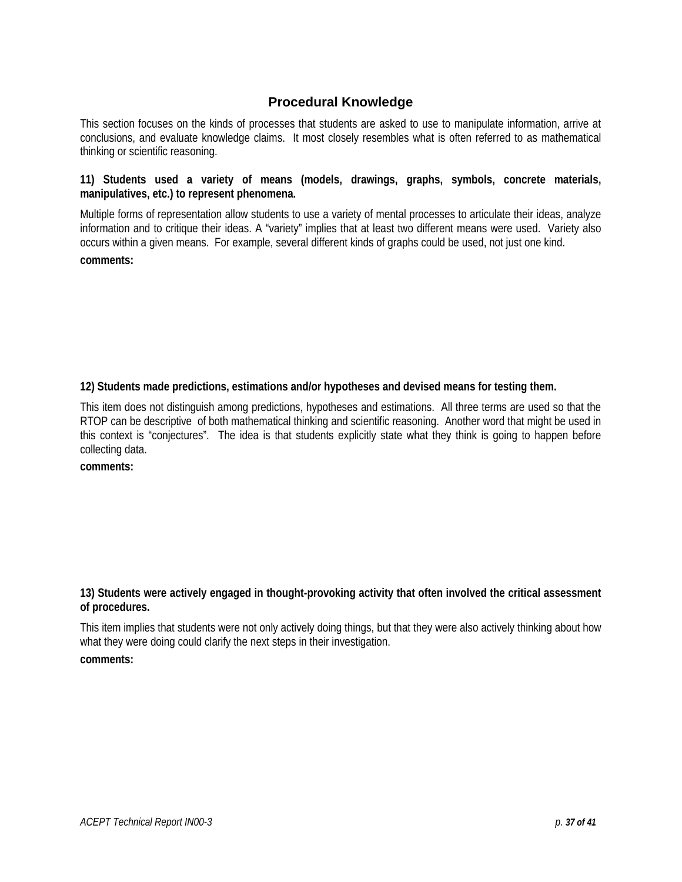## **Procedural Knowledge**

This section focuses on the kinds of processes that students are asked to use to manipulate information, arrive at conclusions, and evaluate knowledge claims. It most closely resembles what is often referred to as mathematical thinking or scientific reasoning.

#### **11) Students used a variety of means (models, drawings, graphs, symbols, concrete materials, manipulatives, etc.) to represent phenomena.**

Multiple forms of representation allow students to use a variety of mental processes to articulate their ideas, analyze information and to critique their ideas. A "variety" implies that at least two different means were used. Variety also occurs within a given means. For example, several different kinds of graphs could be used, not just one kind. **comments:** 

#### **12) Students made predictions, estimations and/or hypotheses and devised means for testing them.**

This item does not distinguish among predictions, hypotheses and estimations. All three terms are used so that the RTOP can be descriptive of both mathematical thinking and scientific reasoning. Another word that might be used in this context is "conjectures". The idea is that students explicitly state what they think is going to happen before collecting data.

**comments:** 

#### **13) Students were actively engaged in thought-provoking activity that often involved the critical assessment of procedures.**

This item implies that students were not only actively doing things, but that they were also actively thinking about how what they were doing could clarify the next steps in their investigation. **comments:**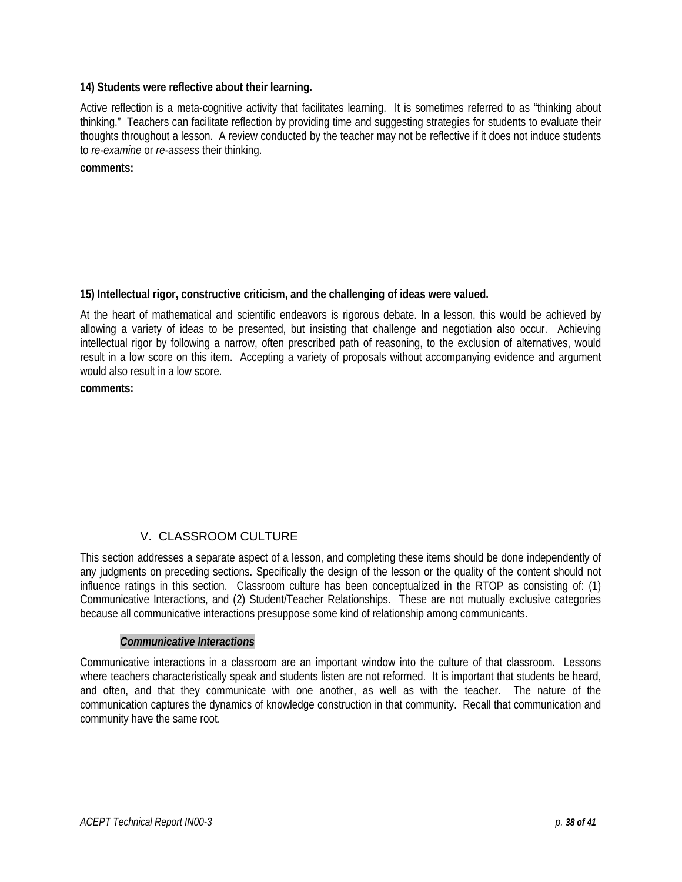#### **14) Students were reflective about their learning.**

Active reflection is a meta-cognitive activity that facilitates learning. It is sometimes referred to as "thinking about thinking." Teachers can facilitate reflection by providing time and suggesting strategies for students to evaluate their thoughts throughout a lesson. A review conducted by the teacher may not be reflective if it does not induce students to *re-examine* or *re-assess* their thinking.

**comments:** 

#### **15) Intellectual rigor, constructive criticism, and the challenging of ideas were valued.**

At the heart of mathematical and scientific endeavors is rigorous debate. In a lesson, this would be achieved by allowing a variety of ideas to be presented, but insisting that challenge and negotiation also occur. Achieving intellectual rigor by following a narrow, often prescribed path of reasoning, to the exclusion of alternatives, would result in a low score on this item. Accepting a variety of proposals without accompanying evidence and argument would also result in a low score.

**comments:** 

## V. CLASSROOM CULTURE

This section addresses a separate aspect of a lesson, and completing these items should be done independently of any judgments on preceding sections. Specifically the design of the lesson or the quality of the content should not influence ratings in this section. Classroom culture has been conceptualized in the RTOP as consisting of: (1) Communicative Interactions, and (2) Student/Teacher Relationships. These are not mutually exclusive categories because all communicative interactions presuppose some kind of relationship among communicants.

#### *Communicative Interactions*

Communicative interactions in a classroom are an important window into the culture of that classroom. Lessons where teachers characteristically speak and students listen are not reformed. It is important that students be heard, and often, and that they communicate with one another, as well as with the teacher. The nature of the communication captures the dynamics of knowledge construction in that community. Recall that communication and community have the same root.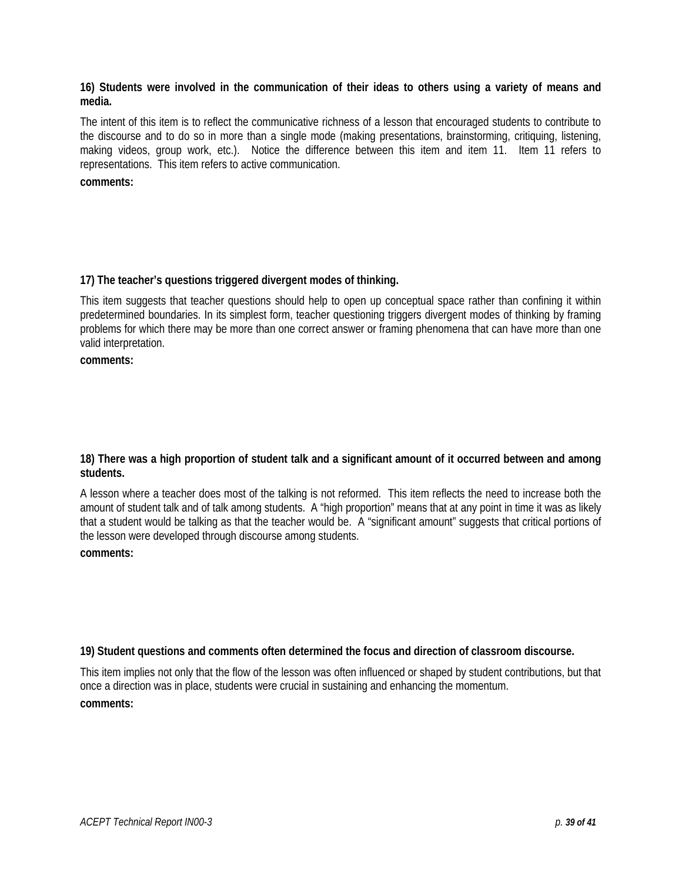#### **16) Students were involved in the communication of their ideas to others using a variety of means and media.**

The intent of this item is to reflect the communicative richness of a lesson that encouraged students to contribute to the discourse and to do so in more than a single mode (making presentations, brainstorming, critiquing, listening, making videos, group work, etc.). Notice the difference between this item and item 11. Item 11 refers to representations. This item refers to active communication.

#### **comments:**

#### **17) The teacher's questions triggered divergent modes of thinking.**

This item suggests that teacher questions should help to open up conceptual space rather than confining it within predetermined boundaries. In its simplest form, teacher questioning triggers divergent modes of thinking by framing problems for which there may be more than one correct answer or framing phenomena that can have more than one valid interpretation.

**comments:** 

#### **18) There was a high proportion of student talk and a significant amount of it occurred between and among students.**

A lesson where a teacher does most of the talking is not reformed. This item reflects the need to increase both the amount of student talk and of talk among students. A "high proportion" means that at any point in time it was as likely that a student would be talking as that the teacher would be. A "significant amount" suggests that critical portions of the lesson were developed through discourse among students.

#### **comments:**

#### **19) Student questions and comments often determined the focus and direction of classroom discourse.**

This item implies not only that the flow of the lesson was often influenced or shaped by student contributions, but that once a direction was in place, students were crucial in sustaining and enhancing the momentum. **comments:**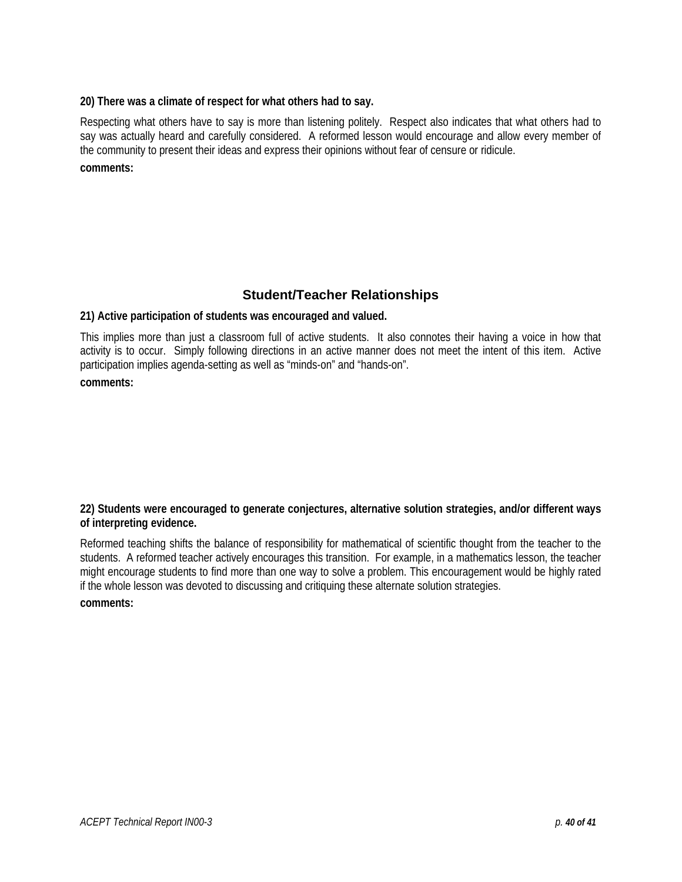#### **20) There was a climate of respect for what others had to say.**

Respecting what others have to say is more than listening politely. Respect also indicates that what others had to say was actually heard and carefully considered. A reformed lesson would encourage and allow every member of the community to present their ideas and express their opinions without fear of censure or ridicule. **comments:** 

## **Student/Teacher Relationships**

#### **21) Active participation of students was encouraged and valued.**

This implies more than just a classroom full of active students. It also connotes their having a voice in how that activity is to occur. Simply following directions in an active manner does not meet the intent of this item. Active participation implies agenda-setting as well as "minds-on" and "hands-on".

#### **comments:**

**22) Students were encouraged to generate conjectures, alternative solution strategies, and/or different ways of interpreting evidence.** 

Reformed teaching shifts the balance of responsibility for mathematical of scientific thought from the teacher to the students. A reformed teacher actively encourages this transition. For example, in a mathematics lesson, the teacher might encourage students to find more than one way to solve a problem. This encouragement would be highly rated if the whole lesson was devoted to discussing and critiquing these alternate solution strategies.

#### **comments:**